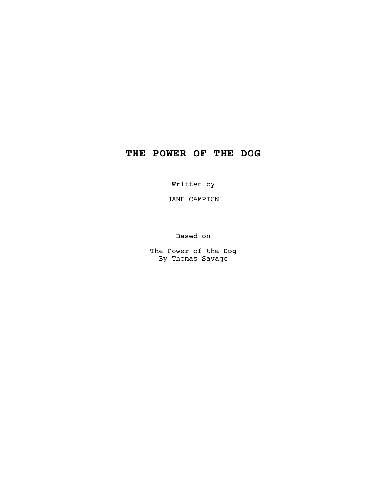# **THE POWER OF THE DOG**

Written by

JANE CAMPION

Based on

The Power of the Dog By Thomas Savage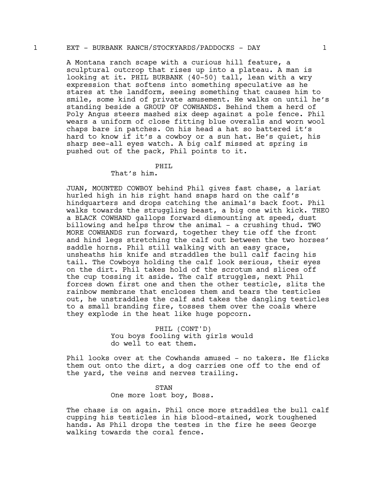## 1 EXT - BURBANK RANCH/STOCKYARDS/PADDOCKS - DAY 1

A Montana ranch scape with a curious hill feature, a sculptural outcrop that rises up into a plateau. A man is looking at it. PHIL BURBANK (40-50) tall, lean with a wry expression that softens into something speculative as he stares at the landform, seeing something that causes him to smile, some kind of private amusement. He walks on until he's standing beside a GROUP OF COWHANDS. Behind them a herd of Poly Angus steers mashed six deep against a pole fence. Phil wears a uniform of close fitting blue overalls and worn wool chaps bare in patches. On his head a hat so battered it's hard to know if it's a cowboy or a sun hat. He's quiet, his sharp see-all eyes watch. A big calf missed at spring is pushed out of the pack, Phil points to it.

# PHIL

# That's him.

JUAN, MOUNTED COWBOY behind Phil gives fast chase, a lariat hurled high in his right hand snaps hard on the calf's hindquarters and drops catching the animal's back foot. Phil walks towards the struggling beast, a big one with kick. THEO a BLACK COWHAND gallops forward dismounting at speed, dust billowing and helps throw the animal - a crushing thud. TWO MORE COWHANDS run forward, together they tie off the front and hind legs stretching the calf out between the two horses' saddle horns. Phil still walking with an easy grace, unsheaths his knife and straddles the bull calf facing his tail. The Cowboys holding the calf look serious, their eyes on the dirt. Phil takes hold of the scrotum and slices off the cup tossing it aside. The calf struggles, next Phil forces down first one and then the other testicle, slits the rainbow membrane that encloses them and tears the testicles out, he unstraddles the calf and takes the dangling testicles to a small branding fire, tosses them over the coals where they explode in the heat like huge popcorn.

> PHIL (CONT'D) You boys fooling with girls would do well to eat them.

Phil looks over at the Cowhands amused - no takers. He flicks them out onto the dirt, a dog carries one off to the end of the yard, the veins and nerves trailing.

> STAN One more lost boy, Boss.

The chase is on again. Phil once more straddles the bull calf cupping his testicles in his blood-stained, work toughened hands. As Phil drops the testes in the fire he sees George walking towards the coral fence.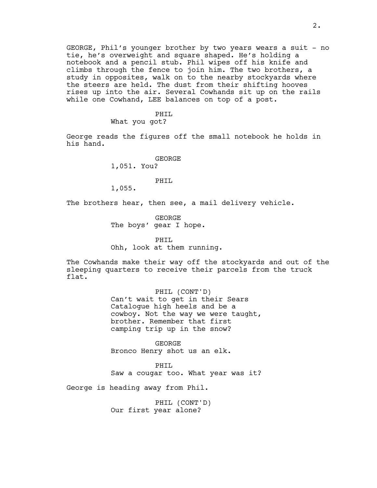GEORGE, Phil's younger brother by two years wears a suit - no tie, he's overweight and square shaped. He's holding a notebook and a pencil stub. Phil wipes off his knife and climbs through the fence to join him. The two brothers, a study in opposites, walk on to the nearby stockyards where the steers are held. The dust from their shifting hooves rises up into the air. Several Cowhands sit up on the rails while one Cowhand, LEE balances on top of a post.

# PHIL

What you got?

George reads the figures off the small notebook he holds in his hand.

> GEORGE 1,051. You?

> > PHIL

1,055.

The brothers hear, then see, a mail delivery vehicle.

GEORGE The boys' gear I hope.

PHIL Ohh, look at them running.

The Cowhands make their way off the stockyards and out of the sleeping quarters to receive their parcels from the truck flat.

> PHIL (CONT'D) Can't wait to get in their Sears Catalogue high heels and be a cowboy. Not the way we were taught, brother. Remember that first camping trip up in the snow?

GEORGE Bronco Henry shot us an elk.

PHIL Saw a cougar too. What year was it?

George is heading away from Phil.

PHIL (CONT'D) Our first year alone?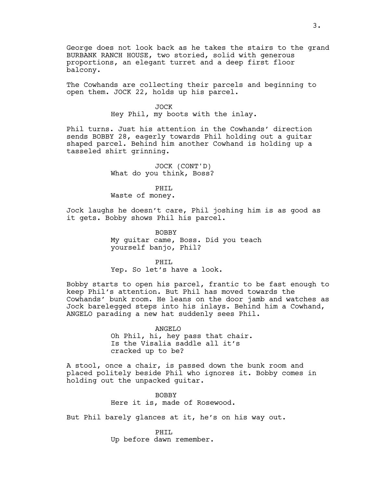George does not look back as he takes the stairs to the grand BURBANK RANCH HOUSE, two storied, solid with generous proportions, an elegant turret and a deep first floor balcony.

The Cowhands are collecting their parcels and beginning to open them. JOCK 22, holds up his parcel.

#### JOCK

Hey Phil, my boots with the inlay.

Phil turns. Just his attention in the Cowhands' direction sends BOBBY 28, eagerly towards Phil holding out a guitar shaped parcel. Behind him another Cowhand is holding up a tasseled shirt grinning.

> JOCK (CONT'D) What do you think, Boss?

### PHIL

Waste of money.

Jock laughs he doesn't care, Phil joshing him is as good as it gets. Bobby shows Phil his parcel.

> BOBBY My guitar came, Boss. Did you teach yourself banjo, Phil?

### PHTT.

Yep. So let's have a look.

Bobby starts to open his parcel, frantic to be fast enough to keep Phil's attention. But Phil has moved towards the Cowhands' bunk room. He leans on the door jamb and watches as Jock barelegged steps into his inlays. Behind him a Cowhand, ANGELO parading a new hat suddenly sees Phil.

### ANGELO

Oh Phil, hi, hey pass that chair. Is the Visalia saddle all it's cracked up to be?

A stool, once a chair, is passed down the bunk room and placed politely beside Phil who ignores it. Bobby comes in holding out the unpacked guitar.

> BOBBY Here it is, made of Rosewood.

But Phil barely glances at it, he's on his way out.

PHIL Up before dawn remember.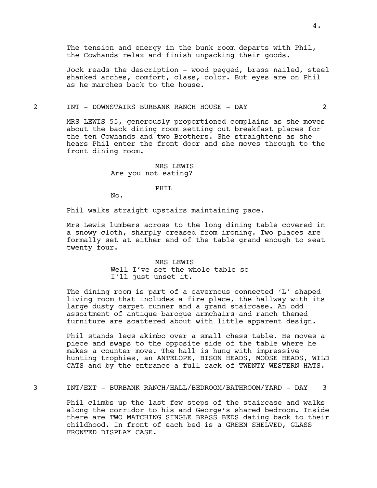The tension and energy in the bunk room departs with Phil, the Cowhands relax and finish unpacking their goods.

Jock reads the description - wood pegged, brass nailed, steel shanked arches, comfort, class, color. But eyes are on Phil as he marches back to the house.

# 2 INT - DOWNSTAIRS BURBANK RANCH HOUSE - DAY 2

MRS LEWIS 55, generously proportioned complains as she moves about the back dining room setting out breakfast places for the ten Cowhands and two Brothers. She straightens as she hears Phil enter the front door and she moves through to the front dining room.

## MRS LEWIS Are you not eating?

#### PHIL

No.

Phil walks straight upstairs maintaining pace.

Mrs Lewis lumbers across to the long dining table covered in a snowy cloth, sharply creased from ironing. Two places are formally set at either end of the table grand enough to seat twenty four.

# MRS LEWIS Well I've set the whole table so I'll just unset it.

The dining room is part of a cavernous connected 'L' shaped living room that includes a fire place, the hallway with its large dusty carpet runner and a grand staircase. An odd assortment of antique baroque armchairs and ranch themed furniture are scattered about with little apparent design.

Phil stands legs akimbo over a small chess table. He moves a piece and swaps to the opposite side of the table where he makes a counter move. The hall is hung with impressive hunting trophies, an ANTELOPE, BISON HEADS, MOOSE HEADS, WILD CATS and by the entrance a full rack of TWENTY WESTERN HATS.

## 3 INT/EXT - BURBANK RANCH/HALL/BEDROOM/BATHROOM/YARD - DAY 3

Phil climbs up the last few steps of the staircase and walks along the corridor to his and George's shared bedroom. Inside there are TWO MATCHING SINGLE BRASS BEDS dating back to their childhood. In front of each bed is a GREEN SHELVED, GLASS FRONTED DISPLAY CASE.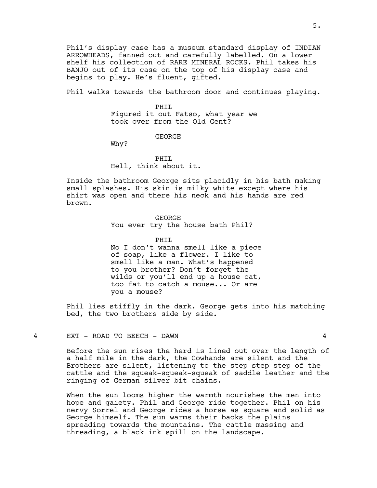Phil's display case has a museum standard display of INDIAN ARROWHEADS, fanned out and carefully labelled. On a lower shelf his collection of RARE MINERAL ROCKS. Phil takes his BANJO out of its case on the top of his display case and begins to play. He's fluent, gifted.

Phil walks towards the bathroom door and continues playing.

#### PHIL

Figured it out Fatso, what year we took over from the Old Gent?

## GEORGE

Why?

PHTT. Hell, think about it.

Inside the bathroom George sits placidly in his bath making small splashes. His skin is milky white except where his shirt was open and there his neck and his hands are red brown.

## GEORGE

You ever try the house bath Phil?

#### PHIL

No I don't wanna smell like a piece of soap, like a flower. I like to smell like a man. What's happened to you brother? Don't forget the wilds or you'll end up a house cat, too fat to catch a mouse... Or are you a mouse?

Phil lies stiffly in the dark. George gets into his matching bed, the two brothers side by side.

# 4 EXT - ROAD TO BEECH - DAWN 4

Before the sun rises the herd is lined out over the length of a half mile in the dark, the Cowhands are silent and the Brothers are silent, listening to the step-step-step of the cattle and the squeak-squeak-squeak of saddle leather and the ringing of German silver bit chains.

When the sun looms higher the warmth nourishes the men into hope and gaiety. Phil and George ride together. Phil on his nervy Sorrel and George rides a horse as square and solid as George himself. The sun warms their backs the plains spreading towards the mountains. The cattle massing and threading, a black ink spill on the landscape.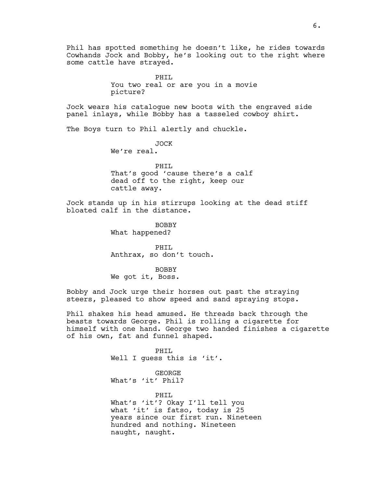Phil has spotted something he doesn't like, he rides towards Cowhands Jock and Bobby, he's looking out to the right where some cattle have strayed.

> PHTT. You two real or are you in a movie picture?

Jock wears his catalogue new boots with the engraved side panel inlays, while Bobby has a tasseled cowboy shirt.

The Boys turn to Phil alertly and chuckle.

JOCK We're real.

PHIL That's good 'cause there's a calf dead off to the right, keep our cattle away.

Jock stands up in his stirrups looking at the dead stiff bloated calf in the distance.

> BOBBY What happened?

PHIL Anthrax, so don't touch.

BOBBY We got it, Boss.

Bobby and Jock urge their horses out past the straying steers, pleased to show speed and sand spraying stops.

Phil shakes his head amused. He threads back through the beasts towards George. Phil is rolling a cigarette for himself with one hand. George two handed finishes a cigarette of his own, fat and funnel shaped.

> PHIL Well I guess this is 'it'. GEORGE

What's 'it' Phil?

PHIL What's 'it'? Okay I'll tell you what 'it' is fatso, today is 25 years since our first run. Nineteen hundred and nothing. Nineteen naught, naught.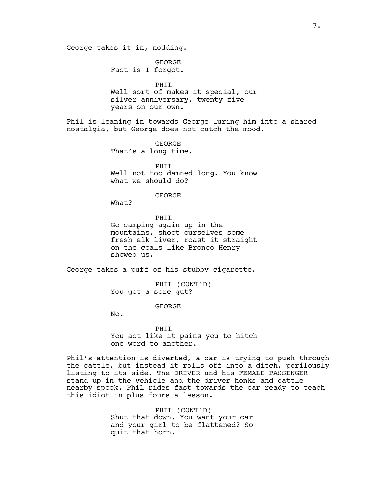GEORGE Fact is I forgot.

PHIL Well sort of makes it special, our silver anniversary, twenty five years on our own.

Phil is leaning in towards George luring him into a shared nostalgia, but George does not catch the mood.

> GEORGE That's a long time.

PHIL Well not too damned long. You know what we should do?

GEORGE

What?

PHIL Go camping again up in the mountains, shoot ourselves some fresh elk liver, roast it straight on the coals like Bronco Henry showed us.

George takes a puff of his stubby cigarette.

PHIL (CONT'D) You got a sore gut?

GEORGE

No.

PHIL You act like it pains you to hitch one word to another.

Phil's attention is diverted, a car is trying to push through the cattle, but instead it rolls off into a ditch, perilously listing to its side. The DRIVER and his FEMALE PASSENGER stand up in the vehicle and the driver honks and cattle nearby spook. Phil rides fast towards the car ready to teach this idiot in plus fours a lesson.

> PHIL (CONT'D) Shut that down. You want your car and your girl to be flattened? So quit that horn.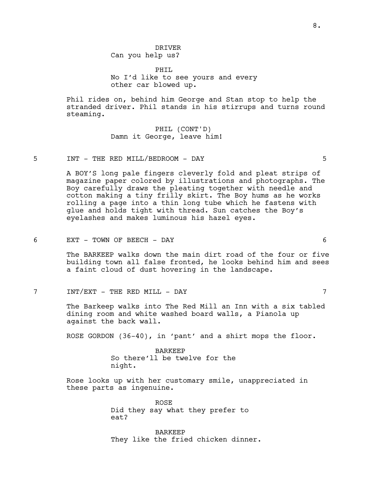DRIVER Can you help us?

PHTT. No I'd like to see yours and every other car blowed up.

Phil rides on, behind him George and Stan stop to help the stranded driver. Phil stands in his stirrups and turns round steaming.

> PHIL (CONT'D) Damn it George, leave him!

5 INT - THE RED MILL/BEDROOM - DAY 5

A BOY'S long pale fingers cleverly fold and pleat strips of magazine paper colored by illustrations and photographs. The Boy carefully draws the pleating together with needle and cotton making a tiny frilly skirt. The Boy hums as he works rolling a page into a thin long tube which he fastens with glue and holds tight with thread. Sun catches the Boy's eyelashes and makes luminous his hazel eyes.

#### 6 EXT - TOWN OF BEECH - DAY 6

The BARKEEP walks down the main dirt road of the four or five building town all false fronted, he looks behind him and sees a faint cloud of dust hovering in the landscape.

7 INT/EXT - THE RED MILL - DAY 7

The Barkeep walks into The Red Mill an Inn with a six tabled dining room and white washed board walls, a Pianola up against the back wall.

ROSE GORDON (36-40), in 'pant' and a shirt mops the floor.

BARKEEP So there'll be twelve for the night.

Rose looks up with her customary smile, unappreciated in these parts as ingenuine.

> ROSE Did they say what they prefer to eat?

BARKEEP They like the fried chicken dinner.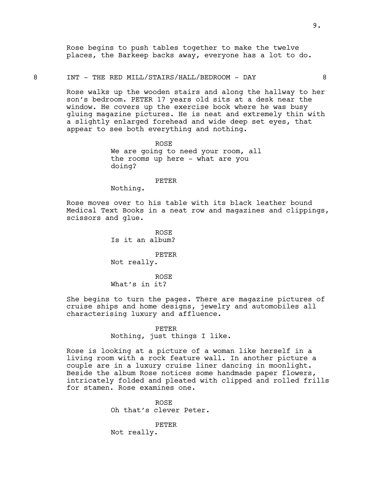Rose begins to push tables together to make the twelve places, the Barkeep backs away, everyone has a lot to do.

## 8 INT - THE RED MILL/STAIRS/HALL/BEDROOM - DAY 8

Rose walks up the wooden stairs and along the hallway to her son's bedroom. PETER 17 years old sits at a desk near the window. He covers up the exercise book where he was busy gluing magazine pictures. He is neat and extremely thin with a slightly enlarged forehead and wide deep set eyes, that appear to see both everything and nothing.

> ROSE We are going to need your room, all the rooms up here - what are you doing?

#### PETER

Nothing.

Rose moves over to his table with its black leather bound Medical Text Books in a neat row and magazines and clippings, scissors and glue.

> ROSE Is it an album?

PETER Not really.

ROSE What's in it?

She begins to turn the pages. There are magazine pictures of cruise ships and home designs, jewelry and automobiles all characterising luxury and affluence.

## PETER

Nothing, just things I like.

Rose is looking at a picture of a woman like herself in a living room with a rock feature wall. In another picture a couple are in a luxury cruise liner dancing in moonlight. Beside the album Rose notices some handmade paper flowers, intricately folded and pleated with clipped and rolled frills for stamen. Rose examines one.

> ROSE Oh that's clever Peter.

PETER Not really.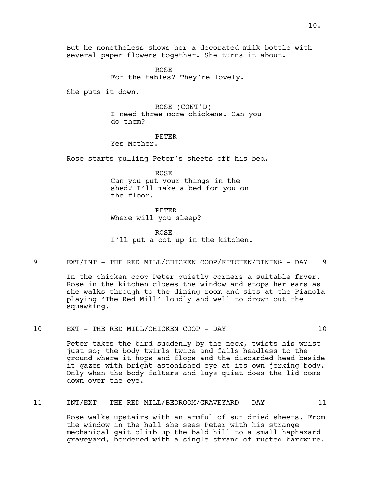But he nonetheless shows her a decorated milk bottle with several paper flowers together. She turns it about.

> ROSE For the tables? They're lovely.

She puts it down.

ROSE (CONT'D) I need three more chickens. Can you do them?

#### PETER

Yes Mother.

Rose starts pulling Peter's sheets off his bed.

ROSE Can you put your things in the shed? I'll make a bed for you on the floor.

PETER Where will you sleep?

ROSE I'll put a cot up in the kitchen.

9 EXT/INT - THE RED MILL/CHICKEN COOP/KITCHEN/DINING - DAY 9

In the chicken coop Peter quietly corners a suitable fryer. Rose in the kitchen closes the window and stops her ears as she walks through to the dining room and sits at the Pianola playing 'The Red Mill' loudly and well to drown out the squawking.

# 10 EXT - THE RED MILL/CHICKEN COOP - DAY 10

Peter takes the bird suddenly by the neck, twists his wrist just so; the body twirls twice and falls headless to the ground where it hops and flops and the discarded head beside it gazes with bright astonished eye at its own jerking body. Only when the body falters and lays quiet does the lid come down over the eye.

11 INT/EXT - THE RED MILL/BEDROOM/GRAVEYARD - DAY 11

Rose walks upstairs with an armful of sun dried sheets. From the window in the hall she sees Peter with his strange mechanical gait climb up the bald hill to a small haphazard graveyard, bordered with a single strand of rusted barbwire.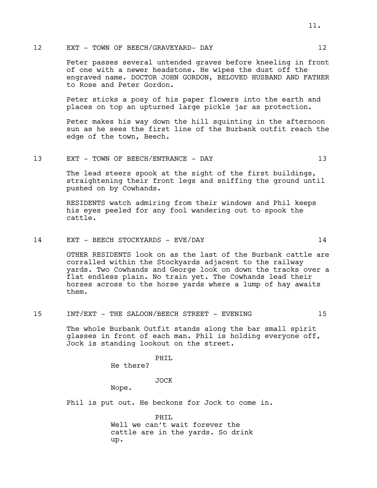# 12 EXT - TOWN OF BEECH/GRAVEYARD- DAY 12

Peter passes several untended graves before kneeling in front of one with a newer headstone. He wipes the dust off the engraved name. DOCTOR JOHN GORDON, BELOVED HUSBAND AND FATHER to Rose and Peter Gordon.

Peter sticks a posy of his paper flowers into the earth and places on top an upturned large pickle jar as protection.

Peter makes his way down the hill squinting in the afternoon sun as he sees the first line of the Burbank outfit reach the edge of the town, Beech.

## 13 EXT - TOWN OF BEECH/ENTRANCE - DAY 13

The lead steers spook at the sight of the first buildings, straightening their front legs and sniffing the ground until pushed on by Cowhands.

RESIDENTS watch admiring from their windows and Phil keeps his eyes peeled for any fool wandering out to spook the cattle.

# 14 EXT - BEECH STOCKYARDS - EVE/DAY 14

OTHER RESIDENTS look on as the last of the Burbank cattle are corralled within the Stockyards adjacent to the railway yards. Two Cowhands and George look on down the tracks over a flat endless plain. No train yet. The Cowhands lead their horses across to the horse yards where a lump of hay awaits them.

# 15 INT/EXT - THE SALOON/BEECH STREET - EVENING 15

The whole Burbank Outfit stands along the bar small spirit glasses in front of each man. Phil is holding everyone off, Jock is standing lookout on the street.

PHIL

He there?

JOCK

Nope.

Phil is put out. He beckons for Jock to come in.

PHIL Well we can't wait forever the cattle are in the yards. So drink up.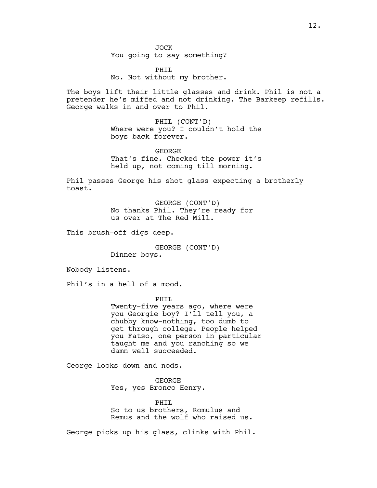JOCK You going to say something?

PHIL No. Not without my brother.

The boys lift their little glasses and drink. Phil is not a pretender he's miffed and not drinking. The Barkeep refills. George walks in and over to Phil.

> PHIL (CONT'D) Where were you? I couldn't hold the boys back forever.

> GEORGE That's fine. Checked the power it's held up, not coming till morning.

Phil passes George his shot glass expecting a brotherly toast.

> GEORGE (CONT'D) No thanks Phil. They're ready for us over at The Red Mill.

This brush-off digs deep.

GEORGE (CONT'D) Dinner boys.

Nobody listens.

Phil's in a hell of a mood.

PHIL

Twenty-five years ago, where were you Georgie boy? I'll tell you, a chubby know-nothing, too dumb to get through college. People helped you Fatso, one person in particular taught me and you ranching so we damn well succeeded.

George looks down and nods.

GEORGE Yes, yes Bronco Henry.

PHIL So to us brothers, Romulus and Remus and the wolf who raised us.

George picks up his glass, clinks with Phil.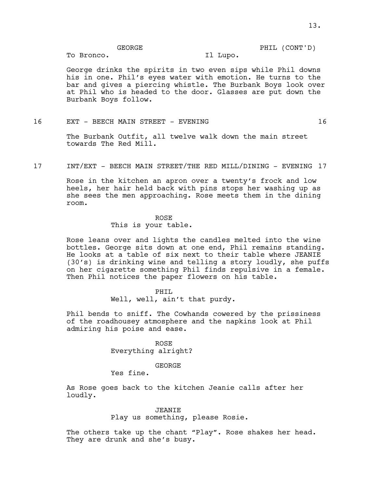PHIL (CONT'D)

GEORGE

To Bronco.

Il Lupo.

George drinks the spirits in two even sips while Phil downs his in one. Phil's eyes water with emotion. He turns to the bar and gives a piercing whistle. The Burbank Boys look over at Phil who is headed to the door. Glasses are put down the Burbank Boys follow.

# 16 EXT - BEECH MAIN STREET - EVENING 16

The Burbank Outfit, all twelve walk down the main street towards The Red Mill.

17 INT/EXT - BEECH MAIN STREET/THE RED MILL/DINING - EVENING 17

Rose in the kitchen an apron over a twenty's frock and low heels, her hair held back with pins stops her washing up as she sees the men approaching. Rose meets them in the dining room.

#### ROSE

This is your table.

Rose leans over and lights the candles melted into the wine bottles. George sits down at one end, Phil remains standing. He looks at a table of six next to their table where JEANIE (30's) is drinking wine and telling a story loudly, she puffs on her cigarette something Phil finds repulsive in a female. Then Phil notices the paper flowers on his table.

## PHIL

Well, well, ain't that purdy.

Phil bends to sniff. The Cowhands cowered by the prissiness of the roadhousey atmosphere and the napkins look at Phil admiring his poise and ease.

#### ROSE

Everything alright?

#### GEORGE

Yes fine.

As Rose goes back to the kitchen Jeanie calls after her loudly.

## JEANIE

Play us something, please Rosie.

The others take up the chant "Play". Rose shakes her head. They are drunk and she's busy.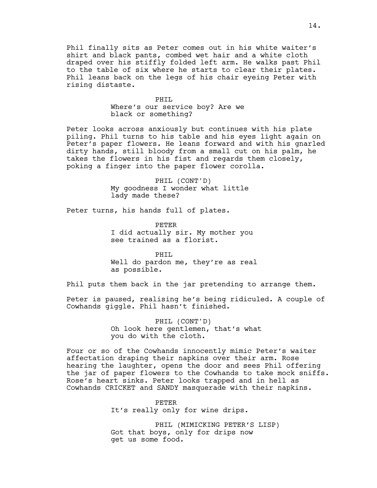Phil finally sits as Peter comes out in his white waiter's shirt and black pants, combed wet hair and a white cloth draped over his stiffly folded left arm. He walks past Phil to the table of six where he starts to clear their plates. Phil leans back on the legs of his chair eyeing Peter with rising distaste.

## PHIL

Where's our service boy? Are we black or something?

Peter looks across anxiously but continues with his plate piling. Phil turns to his table and his eyes light again on Peter's paper flowers. He leans forward and with his gnarled dirty hands, still bloody from a small cut on his palm, he takes the flowers in his fist and regards them closely, poking a finger into the paper flower corolla.

> PHIL (CONT'D) My goodness I wonder what little lady made these?

Peter turns, his hands full of plates.

PETER I did actually sir. My mother you see trained as a florist.

PHIL Well do pardon me, they're as real as possible.

Phil puts them back in the jar pretending to arrange them.

Peter is paused, realising he's being ridiculed. A couple of Cowhands giggle. Phil hasn't finished.

> PHIL (CONT'D) Oh look here gentlemen, that's what you do with the cloth.

Four or so of the Cowhands innocently mimic Peter's waiter affectation draping their napkins over their arm. Rose hearing the laughter, opens the door and sees Phil offering the jar of paper flowers to the Cowhands to take mock sniffs. Rose's heart sinks. Peter looks trapped and in hell as Cowhands CRICKET and SANDY masquerade with their napkins.

> PETER It's really only for wine drips.

PHIL (MIMICKING PETER'S LISP) Got that boys, only for drips now get us some food.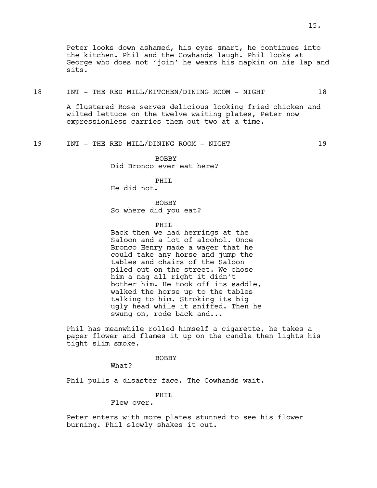Peter looks down ashamed, his eyes smart, he continues into the kitchen. Phil and the Cowhands laugh. Phil looks at George who does not 'join' he wears his napkin on his lap and sits.

## 18 INT - THE RED MILL/KITCHEN/DINING ROOM - NIGHT 18

A flustered Rose serves delicious looking fried chicken and wilted lettuce on the twelve waiting plates, Peter now expressionless carries them out two at a time.

19 INT - THE RED MILL/DINING ROOM - NIGHT 19

BOBBY Did Bronco ever eat here?

PHIL

He did not.

BOBBY So where did you eat?

PHTT.

Back then we had herrings at the Saloon and a lot of alcohol. Once Bronco Henry made a wager that he could take any horse and jump the tables and chairs of the Saloon piled out on the street. We chose him a nag all right it didn't bother him. He took off its saddle, walked the horse up to the tables talking to him. Stroking its big ugly head while it sniffed. Then he swung on, rode back and...

Phil has meanwhile rolled himself a cigarette, he takes a paper flower and flames it up on the candle then lights his tight slim smoke.

BOBBY

What?

Phil pulls a disaster face. The Cowhands wait.

PHIL

Flew over.

Peter enters with more plates stunned to see his flower burning. Phil slowly shakes it out.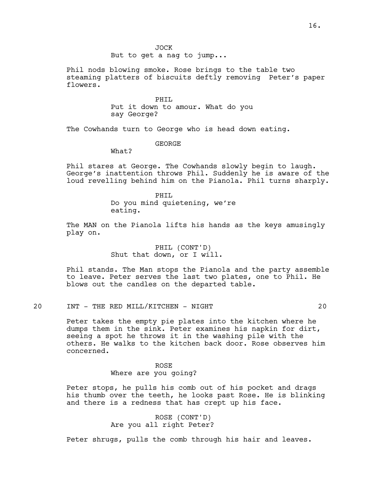JOCK

But to get a nag to jump...

Phil nods blowing smoke. Rose brings to the table two steaming platters of biscuits deftly removing Peter's paper flowers.

PHIL

Put it down to amour. What do you say George?

The Cowhands turn to George who is head down eating.

GEORGE

What?

Phil stares at George. The Cowhands slowly begin to laugh. George's inattention throws Phil. Suddenly he is aware of the loud revelling behind him on the Pianola. Phil turns sharply.

> PHTT. Do you mind quietening, we're eating.

The MAN on the Pianola lifts his hands as the keys amusingly play on.

> PHIL (CONT'D) Shut that down, or I will.

Phil stands. The Man stops the Pianola and the party assemble to leave. Peter serves the last two plates, one to Phil. He blows out the candles on the departed table.

20 INT - THE RED MILL/KITCHEN - NIGHT 20

Peter takes the empty pie plates into the kitchen where he dumps them in the sink. Peter examines his napkin for dirt, seeing a spot he throws it in the washing pile with the others. He walks to the kitchen back door. Rose observes him concerned.

# ROSE Where are you going?

Peter stops, he pulls his comb out of his pocket and drags his thumb over the teeth, he looks past Rose. He is blinking and there is a redness that has crept up his face.

> ROSE (CONT'D) Are you all right Peter?

Peter shrugs, pulls the comb through his hair and leaves.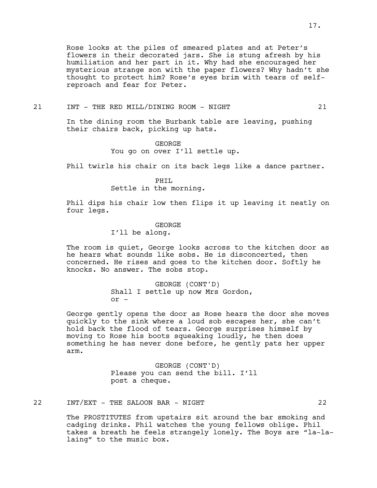Rose looks at the piles of smeared plates and at Peter's flowers in their decorated jars. She is stung afresh by his humiliation and her part in it. Why had she encouraged her mysterious strange son with the paper flowers? Why hadn't she thought to protect him? Rose's eyes brim with tears of selfreproach and fear for Peter.

21 INT - THE RED MILL/DINING ROOM - NIGHT 21

In the dining room the Burbank table are leaving, pushing their chairs back, picking up hats.

> GEORGE You go on over I'll settle up.

Phil twirls his chair on its back legs like a dance partner.

PHIL

Settle in the morning.

Phil dips his chair low then flips it up leaving it neatly on four legs.

# GEORGE

I'll be along.

The room is quiet, George looks across to the kitchen door as he hears what sounds like sobs. He is disconcerted, then concerned. He rises and goes to the kitchen door. Softly he knocks. No answer. The sobs stop.

> GEORGE (CONT'D) Shall I settle up now Mrs Gordon, or -

George gently opens the door as Rose hears the door she moves quickly to the sink where a loud sob escapes her, she can't hold back the flood of tears. George surprises himself by moving to Rose his boots squeaking loudly, he then does something he has never done before, he gently pats her upper arm.

> GEORGE (CONT'D) Please you can send the bill. I'll post a cheque.

# 22 INT/EXT - THE SALOON BAR - NIGHT 22

The PROSTITUTES from upstairs sit around the bar smoking and cadging drinks. Phil watches the young fellows oblige. Phil takes a breath he feels strangely lonely. The Boys are "la-lalaing" to the music box.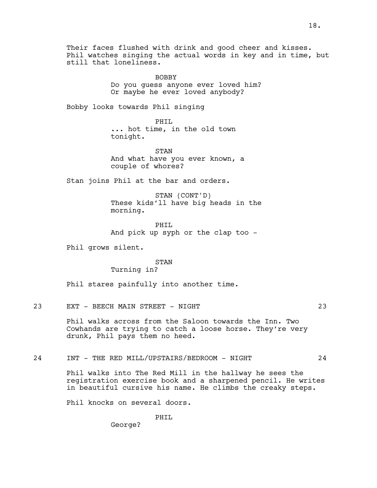Their faces flushed with drink and good cheer and kisses. Phil watches singing the actual words in key and in time, but still that loneliness.

> BOBBY Do you guess anyone ever loved him? Or maybe he ever loved anybody?

Bobby looks towards Phil singing

PHIL ... hot time, in the old town tonight.

STAN And what have you ever known, a couple of whores?

Stan joins Phil at the bar and orders.

STAN (CONT'D) These kids'll have big heads in the morning.

PHTT. And pick up syph or the clap too -

Phil grows silent.

STAN

Turning in?

Phil stares painfully into another time.

23 EXT – BEECH MAIN STREET – NIGHT 23

Phil walks across from the Saloon towards the Inn. Two Cowhands are trying to catch a loose horse. They're very drunk, Phil pays them no heed.

# 24 INT - THE RED MILL/UPSTAIRS/BEDROOM - NIGHT 24

Phil walks into The Red Mill in the hallway he sees the registration exercise book and a sharpened pencil. He writes in beautiful cursive his name. He climbs the creaky steps.

Phil knocks on several doors.

PHIL

George?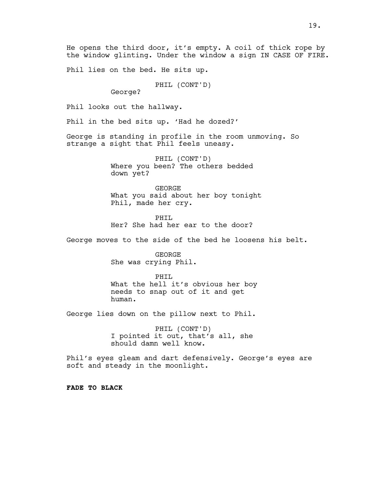He opens the third door, it's empty. A coil of thick rope by the window glinting. Under the window a sign IN CASE OF FIRE.

Phil lies on the bed. He sits up.

PHIL (CONT'D)

George?

Phil looks out the hallway.

Phil in the bed sits up. 'Had he dozed?'

George is standing in profile in the room unmoving. So strange a sight that Phil feels uneasy.

> PHIL (CONT'D) Where you been? The others bedded down yet?

GEORGE What you said about her boy tonight Phil, made her cry.

PHIL Her? She had her ear to the door?

George moves to the side of the bed he loosens his belt.

GEORGE She was crying Phil.

PHIL What the hell it's obvious her boy needs to snap out of it and get human.

George lies down on the pillow next to Phil.

PHIL (CONT'D) I pointed it out, that's all, she should damn well know.

Phil's eyes gleam and dart defensively. George's eyes are soft and steady in the moonlight.

**FADE TO BLACK**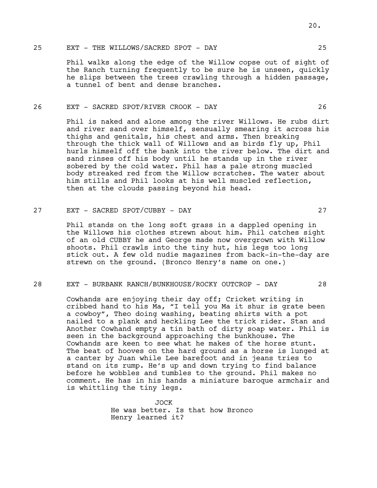Phil walks along the edge of the Willow copse out of sight of the Ranch turning frequently to be sure he is unseen, quickly he slips between the trees crawling through a hidden passage, a tunnel of bent and dense branches.

## 26 EXT - SACRED SPOT/RIVER CROOK - DAY 26

Phil is naked and alone among the river Willows. He rubs dirt and river sand over himself, sensually smearing it across his thighs and genitals, his chest and arms. Then breaking through the thick wall of Willows and as birds fly up, Phil hurls himself off the bank into the river below. The dirt and sand rinses off his body until he stands up in the river sobered by the cold water. Phil has a pale strong muscled body streaked red from the Willow scratches. The water about him stills and Phil looks at his well muscled reflection, then at the clouds passing beyond his head.

27 EXT - SACRED SPOT/CUBBY - DAY 27

Phil stands on the long soft grass in a dappled opening in the Willows his clothes strewn about him. Phil catches sight of an old CUBBY he and George made now overgrown with Willow shoots. Phil crawls into the tiny hut, his legs too long stick out. A few old nudie magazines from back-in-the-day are strewn on the ground. (Bronco Henry's name on one.)

# 28 EXT - BURBANK RANCH/BUNKHOUSE/ROCKY OUTCROP - DAY 28

Cowhands are enjoying their day off; Cricket writing in cribbed hand to his Ma, "I tell you Ma it shur is grate been a cowboy", Theo doing washing, beating shirts with a pot nailed to a plank and heckling Lee the trick rider. Stan and Another Cowhand empty a tin bath of dirty soap water. Phil is seen in the background approaching the bunkhouse. The Cowhands are keen to see what he makes of the horse stunt. The beat of hooves on the hard ground as a horse is lunged at a canter by Juan while Lee barefoot and in jeans tries to stand on its rump. He's up and down trying to find balance before he wobbles and tumbles to the ground. Phil makes no comment. He has in his hands a miniature baroque armchair and is whittling the tiny legs.

> $J\cap C$ He was better. Is that how Bronco Henry learned it?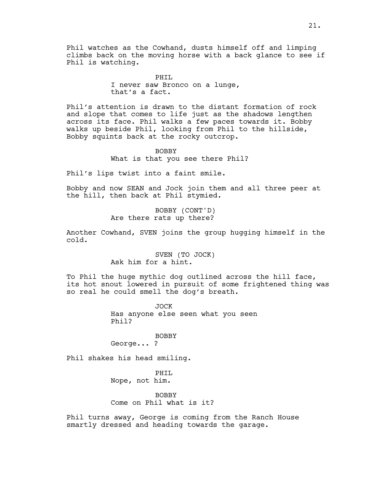Phil watches as the Cowhand, dusts himself off and limping climbs back on the moving horse with a back glance to see if Phil is watching.

> PHIL I never saw Bronco on a lunge, that's a fact.

Phil's attention is drawn to the distant formation of rock and slope that comes to life just as the shadows lengthen across its face. Phil walks a few paces towards it. Bobby walks up beside Phil, looking from Phil to the hillside, Bobby squints back at the rocky outcrop.

> BOBBY What is that you see there Phil?

Phil's lips twist into a faint smile.

Bobby and now SEAN and Jock join them and all three peer at the hill, then back at Phil stymied.

> BOBBY (CONT'D) Are there rats up there?

Another Cowhand, SVEN joins the group hugging himself in the cold.

> SVEN (TO JOCK) Ask him for a hint.

To Phil the huge mythic dog outlined across the hill face, its hot snout lowered in pursuit of some frightened thing was so real he could smell the dog's breath.

> JOCK Has anyone else seen what you seen Phil?

#### BOBBY

George... ?

Phil shakes his head smiling.

PHIL Nope, not him.

BOBBY Come on Phil what is it?

Phil turns away, George is coming from the Ranch House smartly dressed and heading towards the garage.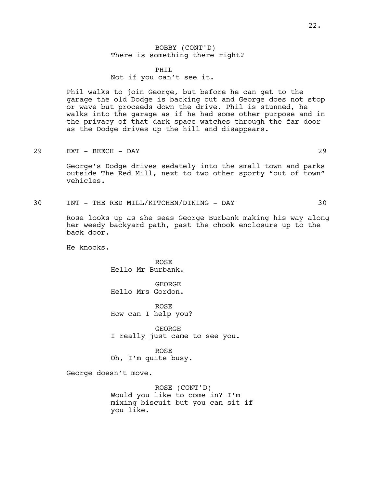BOBBY (CONT'D) There is something there right?

PHIL Not if you can't see it.

Phil walks to join George, but before he can get to the garage the old Dodge is backing out and George does not stop or wave but proceeds down the drive. Phil is stunned, he walks into the garage as if he had some other purpose and in the privacy of that dark space watches through the far door as the Dodge drives up the hill and disappears.

29 EXT - BEECH - DAY 29

George's Dodge drives sedately into the small town and parks outside The Red Mill, next to two other sporty "out of town" vehicles.

30 INT - THE RED MILL/KITCHEN/DINING - DAY 30

Rose looks up as she sees George Burbank making his way along her weedy backyard path, past the chook enclosure up to the back door.

He knocks.

ROSE Hello Mr Burbank.

GEORGE Hello Mrs Gordon.

ROSE How can I help you?

GEORGE I really just came to see you.

ROSE Oh, I'm quite busy.

George doesn't move.

ROSE (CONT'D) Would you like to come in? I'm mixing biscuit but you can sit if you like.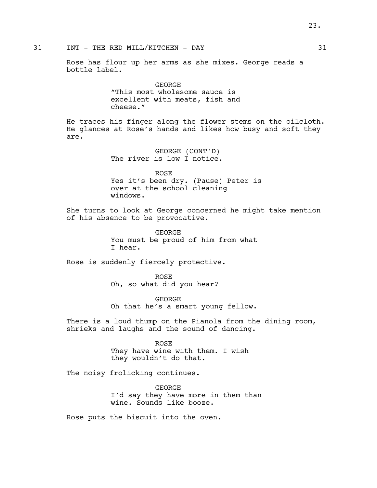Rose has flour up her arms as she mixes. George reads a bottle label.

> GEORGE "This most wholesome sauce is excellent with meats, fish and cheese."

He traces his finger along the flower stems on the oilcloth. He glances at Rose's hands and likes how busy and soft they are.

> GEORGE (CONT'D) The river is low I notice.

ROSE Yes it's been dry. (Pause) Peter is over at the school cleaning windows.

She turns to look at George concerned he might take mention of his absence to be provocative.

> GEORGE You must be proud of him from what I hear.

Rose is suddenly fiercely protective.

ROSE Oh, so what did you hear?

GEORGE Oh that he's a smart young fellow.

There is a loud thump on the Pianola from the dining room, shrieks and laughs and the sound of dancing.

> ROSE They have wine with them. I wish they wouldn't do that.

The noisy frolicking continues.

GEORGE I'd say they have more in them than wine. Sounds like booze.

Rose puts the biscuit into the oven.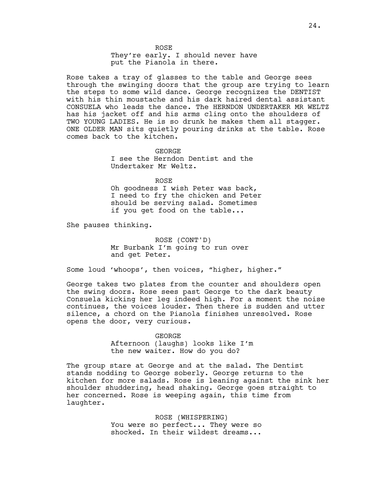ROSE

They're early. I should never have put the Pianola in there.

Rose takes a tray of glasses to the table and George sees through the swinging doors that the group are trying to learn the steps to some wild dance. George recognizes the DENTIST with his thin moustache and his dark haired dental assistant CONSUELA who leads the dance. The HERNDON UNDERTAKER MR WELTZ has his jacket off and his arms cling onto the shoulders of TWO YOUNG LADIES. He is so drunk he makes them all stagger. ONE OLDER MAN sits quietly pouring drinks at the table. Rose comes back to the kitchen.

> GEORGE I see the Herndon Dentist and the Undertaker Mr Weltz.

> > ROSE

Oh goodness I wish Peter was back, I need to fry the chicken and Peter should be serving salad. Sometimes if you get food on the table...

She pauses thinking.

ROSE (CONT'D) Mr Burbank I'm going to run over and get Peter.

Some loud 'whoops', then voices, "higher, higher."

George takes two plates from the counter and shoulders open the swing doors. Rose sees past George to the dark beauty Consuela kicking her leg indeed high. For a moment the noise continues, the voices louder. Then there is sudden and utter silence, a chord on the Pianola finishes unresolved. Rose opens the door, very curious.

GEORGE

Afternoon (laughs) looks like I'm the new waiter. How do you do?

The group stare at George and at the salad. The Dentist stands nodding to George soberly. George returns to the kitchen for more salads. Rose is leaning against the sink her shoulder shuddering, head shaking. George goes straight to her concerned. Rose is weeping again, this time from laughter.

> ROSE (WHISPERING) You were so perfect... They were so shocked. In their wildest dreams...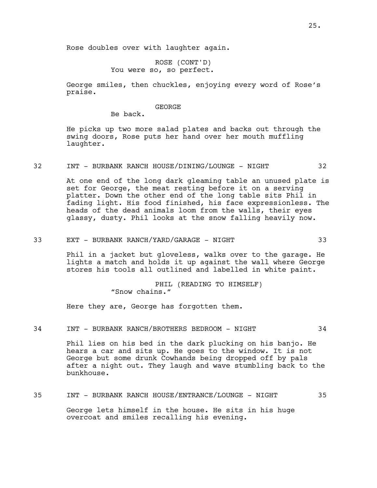ROSE (CONT'D) You were so, so perfect.

George smiles, then chuckles, enjoying every word of Rose's praise.

## GEORGE

Be back.

He picks up two more salad plates and backs out through the swing doors, Rose puts her hand over her mouth muffling laughter.

# 32 INT - BURBANK RANCH HOUSE/DINING/LOUNGE - NIGHT 32

At one end of the long dark gleaming table an unused plate is set for George, the meat resting before it on a serving platter. Down the other end of the long table sits Phil in fading light. His food finished, his face expressionless. The heads of the dead animals loom from the walls, their eyes glassy, dusty. Phil looks at the snow falling heavily now.

## 33 EXT - BURBANK RANCH/YARD/GARAGE - NIGHT 33

Phil in a jacket but gloveless, walks over to the garage. He lights a match and holds it up against the wall where George stores his tools all outlined and labelled in white paint.

> PHIL (READING TO HIMSELF) "Snow chains."

Here they are, George has forgotten them.

## 34 INT - BURBANK RANCH/BROTHERS BEDROOM - NIGHT 34

Phil lies on his bed in the dark plucking on his banjo. He hears a car and sits up. He goes to the window. It is not George but some drunk Cowhands being dropped off by pals after a night out. They laugh and wave stumbling back to the bunkhouse.

# 35 INT - BURBANK RANCH HOUSE/ENTRANCE/LOUNGE - NIGHT 35

George lets himself in the house. He sits in his huge overcoat and smiles recalling his evening.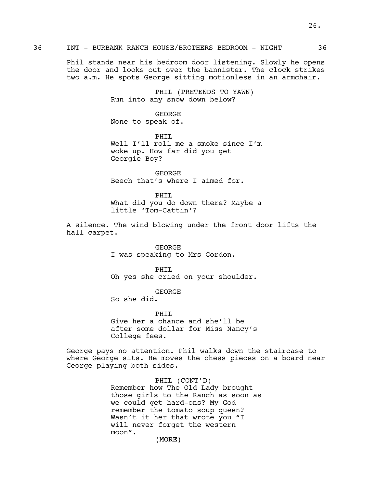Phil stands near his bedroom door listening. Slowly he opens the door and looks out over the bannister. The clock strikes two a.m. He spots George sitting motionless in an armchair.

> PHIL (PRETENDS TO YAWN) Run into any snow down below?

GEORGE None to speak of.

PHIL Well I'll roll me a smoke since I'm woke up. How far did you get Georgie Boy?

GEORGE Beech that's where I aimed for.

PHIL What did you do down there? Maybe a little 'Tom-Cattin'?

A silence. The wind blowing under the front door lifts the hall carpet.

> GEORGE I was speaking to Mrs Gordon.

PHIL Oh yes she cried on your shoulder.

GEORGE

So she did.

PHTT. Give her a chance and she'll be after some dollar for Miss Nancy's College fees.

George pays no attention. Phil walks down the staircase to where George sits. He moves the chess pieces on a board near George playing both sides.

> PHIL (CONT'D) Remember how The Old Lady brought those girls to the Ranch as soon as we could get hard-ons? My God remember the tomato soup queen? Wasn't it her that wrote you "I will never forget the western moon".

> > (MORE)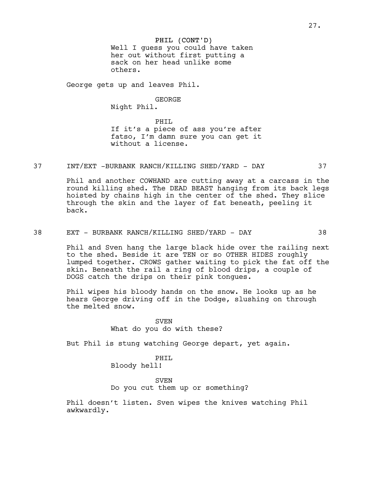PHIL (CONT'D) Well I guess you could have taken her out without first putting a sack on her head unlike some others.

George gets up and leaves Phil.

GEORGE

Night Phil.

PHIL If it's a piece of ass you're after fatso, I'm damn sure you can get it without a license.

37 INT/EXT -BURBANK RANCH/KILLING SHED/YARD - DAY 37

Phil and another COWHAND are cutting away at a carcass in the round killing shed. The DEAD BEAST hanging from its back legs hoisted by chains high in the center of the shed. They slice through the skin and the layer of fat beneath, peeling it back.

38 EXT - BURBANK RANCH/KILLING SHED/YARD - DAY 38

Phil and Sven hang the large black hide over the railing next to the shed. Beside it are TEN or so OTHER HIDES roughly lumped together. CROWS gather waiting to pick the fat off the skin. Beneath the rail a ring of blood drips, a couple of DOGS catch the drips on their pink tongues.

Phil wipes his bloody hands on the snow. He looks up as he hears George driving off in the Dodge, slushing on through the melted snow.

> **SVEN** What do you do with these?

But Phil is stung watching George depart, yet again.

PHIL Bloody hell!

SVEN

Do you cut them up or something?

Phil doesn't listen. Sven wipes the knives watching Phil awkwardly.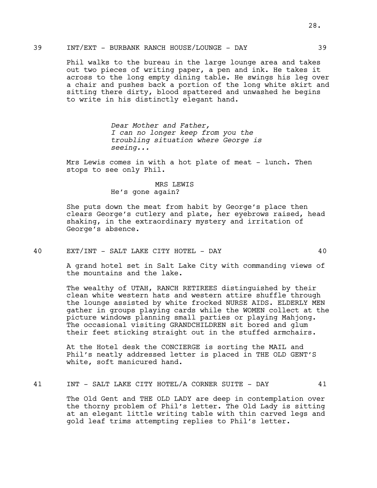Phil walks to the bureau in the large lounge area and takes out two pieces of writing paper, a pen and ink. He takes it across to the long empty dining table. He swings his leg over a chair and pushes back a portion of the long white skirt and sitting there dirty, blood spattered and unwashed he begins to write in his distinctly elegant hand.

> *Dear Mother and Father, I can no longer keep from you the troubling situation where George is seeing...*

Mrs Lewis comes in with a hot plate of meat - lunch. Then stops to see only Phil.

> MRS LEWIS He's gone again?

She puts down the meat from habit by George's place then clears George's cutlery and plate, her eyebrows raised, head shaking, in the extraordinary mystery and irritation of George's absence.

40 EXT/INT - SALT LAKE CITY HOTEL - DAY 40

A grand hotel set in Salt Lake City with commanding views of the mountains and the lake.

The wealthy of UTAH, RANCH RETIREES distinguished by their clean white western hats and western attire shuffle through the lounge assisted by white frocked NURSE AIDS. ELDERLY MEN gather in groups playing cards while the WOMEN collect at the picture windows planning small parties or playing Mahjong. The occasional visiting GRANDCHILDREN sit bored and glum their feet sticking straight out in the stuffed armchairs.

At the Hotel desk the CONCIERGE is sorting the MAIL and Phil's neatly addressed letter is placed in THE OLD GENT'S white, soft manicured hand.

### 41 INT - SALT LAKE CITY HOTEL/A CORNER SUITE - DAY 41

The Old Gent and THE OLD LADY are deep in contemplation over the thorny problem of Phil's letter. The Old Lady is sitting at an elegant little writing table with thin carved legs and gold leaf trims attempting replies to Phil's letter.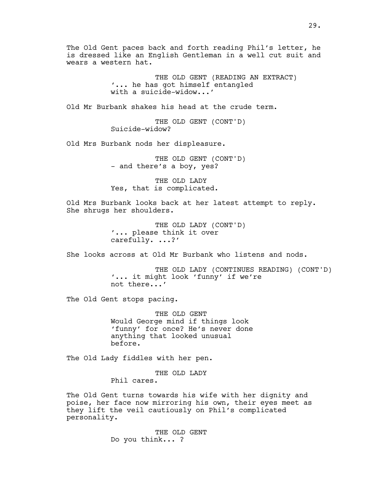The Old Gent paces back and forth reading Phil's letter, he is dressed like an English Gentleman in a well cut suit and wears a western hat.

> THE OLD GENT (READING AN EXTRACT) '... he has got himself entangled with a suicide-widow...'

Old Mr Burbank shakes his head at the crude term.

THE OLD GENT (CONT'D) Suicide-widow?

Old Mrs Burbank nods her displeasure.

THE OLD GENT (CONT'D) - and there's a boy, yes?

THE OLD LADY Yes, that is complicated.

Old Mrs Burbank looks back at her latest attempt to reply. She shrugs her shoulders.

> THE OLD LADY (CONT'D) '... please think it over carefully. ...?'

She looks across at Old Mr Burbank who listens and nods.

THE OLD LADY (CONTINUES READING) (CONT'D) '... it might look 'funny' if we're not there...'

The Old Gent stops pacing.

THE OLD GENT Would George mind if things look 'funny' for once? He's never done anything that looked unusual before.

The Old Lady fiddles with her pen.

THE OLD LADY Phil cares.

The Old Gent turns towards his wife with her dignity and poise, her face now mirroring his own, their eyes meet as they lift the veil cautiously on Phil's complicated personality.

> THE OLD GENT Do you think... ?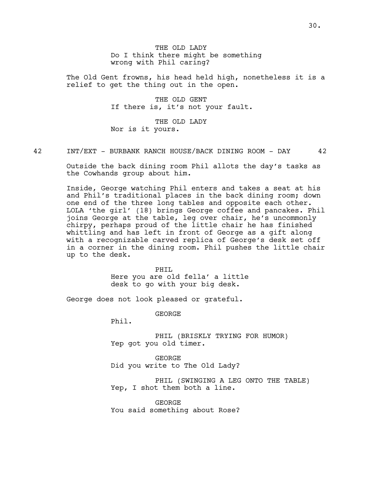THE OLD LADY Do I think there might be something wrong with Phil caring?

The Old Gent frowns, his head held high, nonetheless it is a relief to get the thing out in the open.

> THE OLD GENT If there is, it's not your fault.

THE OLD LADY Nor is it yours.

42 INT/EXT - BURBANK RANCH HOUSE/BACK DINING ROOM - DAY 42

Outside the back dining room Phil allots the day's tasks as the Cowhands group about him.

Inside, George watching Phil enters and takes a seat at his and Phil's traditional places in the back dining room; down one end of the three long tables and opposite each other. LOLA 'the girl' (18) brings George coffee and pancakes. Phil joins George at the table, leg over chair, he's uncommonly chirpy, perhaps proud of the little chair he has finished whittling and has left in front of George as a gift along with a recognizable carved replica of George's desk set off in a corner in the dining room. Phil pushes the little chair up to the desk.

> PHTT. Here you are old fella' a little desk to go with your big desk.

George does not look pleased or grateful.

GEORGE

Phil.

PHIL (BRISKLY TRYING FOR HUMOR) Yep got you old timer.

GEORGE Did you write to The Old Lady?

PHIL (SWINGING A LEG ONTO THE TABLE) Yep, I shot them both a line.

GEORGE You said something about Rose?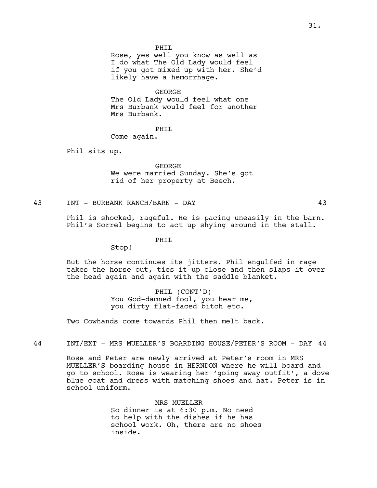PHTT.

Rose, yes well you know as well as I do what The Old Lady would feel if you got mixed up with her. She'd likely have a hemorrhage.

#### GEORGE

The Old Lady would feel what one Mrs Burbank would feel for another Mrs Burbank.

## PHIL

Come again.

Phil sits up.

GEORGE We were married Sunday. She's got rid of her property at Beech.

# 43 INT - BURBANK RANCH/BARN - DAY 43

Phil is shocked, rageful. He is pacing uneasily in the barn. Phil's Sorrel begins to act up shying around in the stall.

## PHIL

Stop!

But the horse continues its jitters. Phil engulfed in rage takes the horse out, ties it up close and then slaps it over the head again and again with the saddle blanket.

> PHIL (CONT'D) You God-damned fool, you hear me, you dirty flat-faced bitch etc.

Two Cowhands come towards Phil then melt back.

44 INT/EXT - MRS MUELLER'S BOARDING HOUSE/PETER'S ROOM - DAY 44

Rose and Peter are newly arrived at Peter's room in MRS MUELLER'S boarding house in HERNDON where he will board and go to school. Rose is wearing her 'going away outfit', a dove blue coat and dress with matching shoes and hat. Peter is in school uniform.

> MRS MUELLER So dinner is at 6:30 p.m. No need to help with the dishes if he has school work. Oh, there are no shoes inside.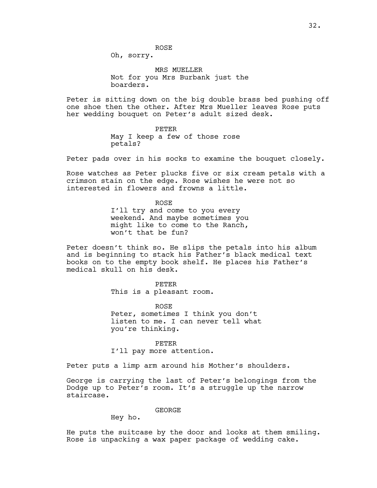ROSE

Oh, sorry.

MRS MUELLER Not for you Mrs Burbank just the boarders.

Peter is sitting down on the big double brass bed pushing off one shoe then the other. After Mrs Mueller leaves Rose puts her wedding bouquet on Peter's adult sized desk.

> PETER May I keep a few of those rose petals?

Peter pads over in his socks to examine the bouquet closely.

Rose watches as Peter plucks five or six cream petals with a crimson stain on the edge. Rose wishes he were not so interested in flowers and frowns a little.

> ROSE I'll try and come to you every weekend. And maybe sometimes you might like to come to the Ranch, won't that be fun?

Peter doesn't think so. He slips the petals into his album and is beginning to stack his Father's black medical text books on to the empty book shelf. He places his Father's medical skull on his desk.

> PETER This is a pleasant room.

ROSE Peter, sometimes I think you don't listen to me. I can never tell what you're thinking.

PETER I'll pay more attention.

Peter puts a limp arm around his Mother's shoulders.

George is carrying the last of Peter's belongings from the Dodge up to Peter's room. It's a struggle up the narrow staircase.

GEORGE

Hey ho.

He puts the suitcase by the door and looks at them smiling. Rose is unpacking a wax paper package of wedding cake.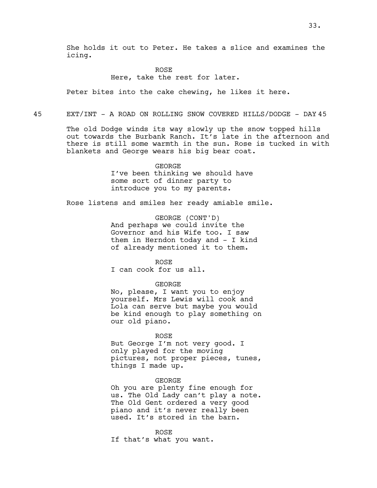She holds it out to Peter. He takes a slice and examines the icing.

> ROSE Here, take the rest for later.

Peter bites into the cake chewing, he likes it here.

45 EXT/INT - A ROAD ON ROLLING SNOW COVERED HILLS/DODGE - DAY 45

The old Dodge winds its way slowly up the snow topped hills out towards the Burbank Ranch. It's late in the afternoon and there is still some warmth in the sun. Rose is tucked in with blankets and George wears his big bear coat.

> GEORGE I've been thinking we should have some sort of dinner party to introduce you to my parents.

Rose listens and smiles her ready amiable smile.

GEORGE (CONT'D) And perhaps we could invite the Governor and his Wife too. I saw them in Herndon today and - I kind of already mentioned it to them.

ROSE

I can cook for us all.

GEORGE

No, please, I want you to enjoy yourself. Mrs Lewis will cook and Lola can serve but maybe you would be kind enough to play something on our old piano.

#### ROSE

But George I'm not very good. I only played for the moving pictures, not proper pieces, tunes, things I made up.

GEORGE

Oh you are plenty fine enough for us. The Old Lady can't play a note. The Old Gent ordered a very good piano and it's never really been used. It's stored in the barn.

ROSE If that's what you want.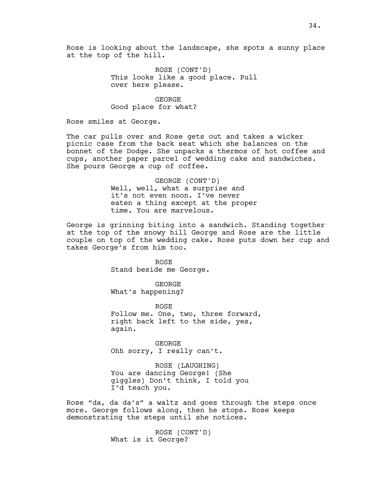ROSE (CONT'D) This looks like a good place. Pull over here please.

GEORGE Good place for what?

Rose smiles at George.

The car pulls over and Rose gets out and takes a wicker picnic case from the back seat which she balances on the bonnet of the Dodge. She unpacks a thermos of hot coffee and cups, another paper parcel of wedding cake and sandwiches. She pours George a cup of coffee.

> GEORGE (CONT'D) Well, well, what a surprise and it's not even noon. I've never eaten a thing except at the proper time. You are marvelous.

George is grinning biting into a sandwich. Standing together at the top of the snowy hill George and Rose are the little couple on top of the wedding cake. Rose puts down her cup and takes George's from him too.

> ROSE Stand beside me George.

GEORGE What's happening?

ROSE Follow me. One, two, three forward, right back left to the side, yes, again.

GEORGE Ohh sorry, I really can't.

ROSE (LAUGHING) You are dancing George! (She giggles) Don't think, I told you I'd teach you.

Rose "da, da da's" a waltz and goes through the steps once more. George follows along, then he stops. Rose keeps demonstrating the steps until she notices.

> ROSE (CONT'D) What is it George?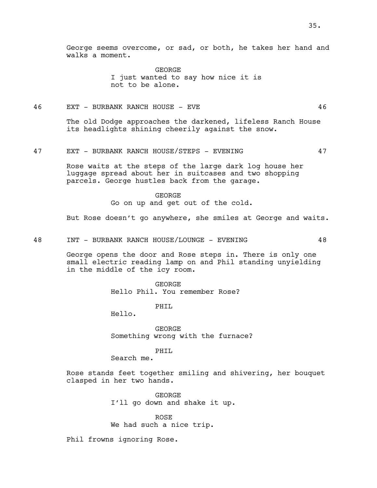George seems overcome, or sad, or both, he takes her hand and walks a moment.

> GEORGE I just wanted to say how nice it is not to be alone.

# 46 EXT - BURBANK RANCH HOUSE - EVE 46

The old Dodge approaches the darkened, lifeless Ranch House its headlights shining cheerily against the snow.

# 47 EXT - BURBANK RANCH HOUSE/STEPS - EVENING 47

Rose waits at the steps of the large dark log house her luggage spread about her in suitcases and two shopping parcels. George hustles back from the garage.

> GEORGE Go on up and get out of the cold.

But Rose doesn't go anywhere, she smiles at George and waits.

48 INT - BURBANK RANCH HOUSE/LOUNGE - EVENING 48

George opens the door and Rose steps in. There is only one small electric reading lamp on and Phil standing unyielding in the middle of the icy room.

> GEORGE Hello Phil. You remember Rose?

> > PHTT.

Hello.

GEORGE Something wrong with the furnace?

PHIL

Search me.

Rose stands feet together smiling and shivering, her bouquet clasped in her two hands.

> GEORGE I'll go down and shake it up.

ROSE We had such a nice trip.

Phil frowns ignoring Rose.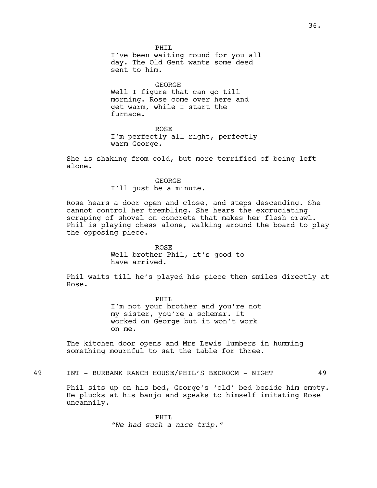PHTT. I've been waiting round for you all day. The Old Gent wants some deed sent to him.

GEORGE Well I figure that can go till morning. Rose come over here and get warm, while I start the furnace.

ROSE I'm perfectly all right, perfectly warm George.

She is shaking from cold, but more terrified of being left alone.

#### GEORGE

I'll just be a minute.

Rose hears a door open and close, and steps descending. She cannot control her trembling. She hears the excruciating scraping of shovel on concrete that makes her flesh crawl. Phil is playing chess alone, walking around the board to play the opposing piece.

> ROSE Well brother Phil, it's good to have arrived.

Phil waits till he's played his piece then smiles directly at Rose.

> PHIL I'm not your brother and you're not my sister, you're a schemer. It worked on George but it won't work on me.

The kitchen door opens and Mrs Lewis lumbers in humming something mournful to set the table for three.

49 INT - BURBANK RANCH HOUSE/PHIL'S BEDROOM - NIGHT 49

Phil sits up on his bed, George's 'old' bed beside him empty. He plucks at his banjo and speaks to himself imitating Rose uncannily.

> PHIL *"We had such a nice trip."*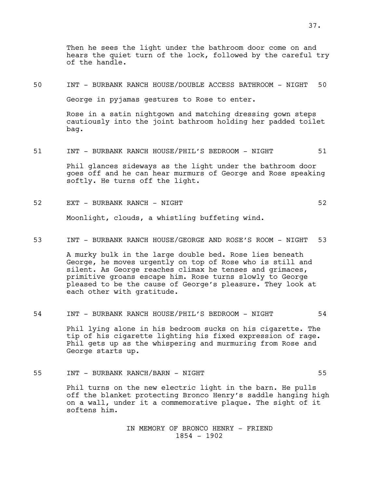Then he sees the light under the bathroom door come on and hears the quiet turn of the lock, followed by the careful try of the handle.

50 INT - BURBANK RANCH HOUSE/DOUBLE ACCESS BATHROOM - NIGHT 50

George in pyjamas gestures to Rose to enter.

Rose in a satin nightgown and matching dressing gown steps cautiously into the joint bathroom holding her padded toilet bag.

51 INT - BURBANK RANCH HOUSE/PHIL'S BEDROOM - NIGHT 51

Phil glances sideways as the light under the bathroom door goes off and he can hear murmurs of George and Rose speaking softly. He turns off the light.

52 EXT - BURBANK RANCH - NIGHT 52

Moonlight, clouds, a whistling buffeting wind.

53 INT - BURBANK RANCH HOUSE/GEORGE AND ROSE'S ROOM - NIGHT 53

A murky bulk in the large double bed. Rose lies beneath George, he moves urgently on top of Rose who is still and silent. As George reaches climax he tenses and grimaces, primitive groans escape him. Rose turns slowly to George pleased to be the cause of George's pleasure. They look at each other with gratitude.

54 INT - BURBANK RANCH HOUSE/PHIL'S BEDROOM - NIGHT 54

Phil lying alone in his bedroom sucks on his cigarette. The tip of his cigarette lighting his fixed expression of rage. Phil gets up as the whispering and murmuring from Rose and George starts up.

55 INT - BURBANK RANCH/BARN - NIGHT 55

Phil turns on the new electric light in the barn. He pulls off the blanket protecting Bronco Henry's saddle hanging high on a wall, under it a commemorative plaque. The sight of it softens him.

> IN MEMORY OF BRONCO HENRY - FRIEND 1854 - 1902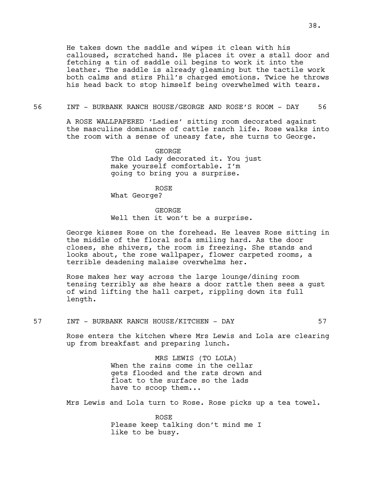## 56 INT - BURBANK RANCH HOUSE/GEORGE AND ROSE'S ROOM - DAY 56

A ROSE WALLPAPERED 'Ladies' sitting room decorated against the masculine dominance of cattle ranch life. Rose walks into the room with a sense of uneasy fate, she turns to George.

> GEORGE The Old Lady decorated it. You just make yourself comfortable. I'm going to bring you a surprise.

> > ROSE

What George?

### GEORGE

Well then it won't be a surprise.

George kisses Rose on the forehead. He leaves Rose sitting in the middle of the floral sofa smiling hard. As the door closes, she shivers, the room is freezing. She stands and looks about, the rose wallpaper, flower carpeted rooms, a terrible deadening malaise overwhelms her.

Rose makes her way across the large lounge/dining room tensing terribly as she hears a door rattle then sees a gust of wind lifting the hall carpet, rippling down its full length.

## 57 INT - BURBANK RANCH HOUSE/KITCHEN - DAY 57

Rose enters the kitchen where Mrs Lewis and Lola are clearing up from breakfast and preparing lunch.

> MRS LEWIS (TO LOLA) When the rains come in the cellar gets flooded and the rats drown and float to the surface so the lads have to scoop them...

Mrs Lewis and Lola turn to Rose. Rose picks up a tea towel.

ROSE Please keep talking don't mind me I like to be busy.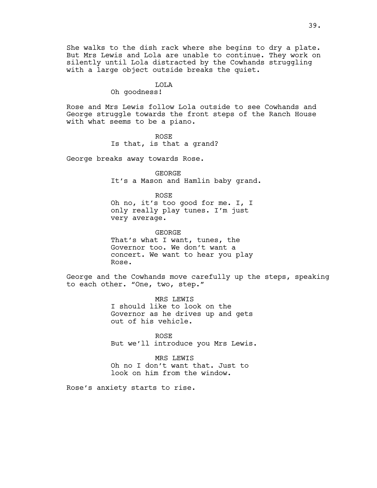She walks to the dish rack where she begins to dry a plate. But Mrs Lewis and Lola are unable to continue. They work on silently until Lola distracted by the Cowhands struggling with a large object outside breaks the quiet.

# LOLA

# Oh goodness!

Rose and Mrs Lewis follow Lola outside to see Cowhands and George struggle towards the front steps of the Ranch House with what seems to be a piano.

> ROSE Is that, is that a grand?

George breaks away towards Rose.

GEORGE It's a Mason and Hamlin baby grand.

ROSE Oh no, it's too good for me. I, I only really play tunes. I'm just very average.

GEORGE That's what I want, tunes, the Governor too. We don't want a concert. We want to hear you play Rose.

George and the Cowhands move carefully up the steps, speaking to each other. "One, two, step."

> MRS LEWIS I should like to look on the Governor as he drives up and gets out of his vehicle.

ROSE But we'll introduce you Mrs Lewis.

MRS LEWIS Oh no I don't want that. Just to look on him from the window.

Rose's anxiety starts to rise.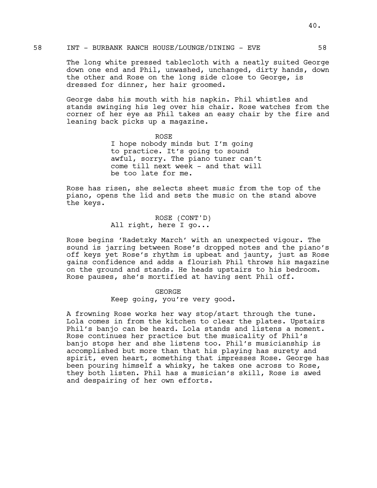The long white pressed tablecloth with a neatly suited George down one end and Phil, unwashed, unchanged, dirty hands, down the other and Rose on the long side close to George, is dressed for dinner, her hair groomed.

George dabs his mouth with his napkin. Phil whistles and stands swinging his leg over his chair. Rose watches from the corner of her eye as Phil takes an easy chair by the fire and leaning back picks up a magazine.

> ROSE I hope nobody minds but I'm going to practice. It's going to sound awful, sorry. The piano tuner can't come till next week - and that will be too late for me.

Rose has risen, she selects sheet music from the top of the piano, opens the lid and sets the music on the stand above the keys.

> ROSE (CONT'D) All right, here I go...

Rose begins 'Radetzky March' with an unexpected vigour. The sound is jarring between Rose's dropped notes and the piano's off keys yet Rose's rhythm is upbeat and jaunty, just as Rose gains confidence and adds a flourish Phil throws his magazine on the ground and stands. He heads upstairs to his bedroom. Rose pauses, she's mortified at having sent Phil off.

## GEORGE

Keep going, you're very good.

A frowning Rose works her way stop/start through the tune. Lola comes in from the kitchen to clear the plates. Upstairs Phil's banjo can be heard. Lola stands and listens a moment. Rose continues her practice but the musicality of Phil's banjo stops her and she listens too. Phil's musicianship is accomplished but more than that his playing has surety and spirit, even heart, something that impresses Rose. George has been pouring himself a whisky, he takes one across to Rose, they both listen. Phil has a musician's skill, Rose is awed and despairing of her own efforts.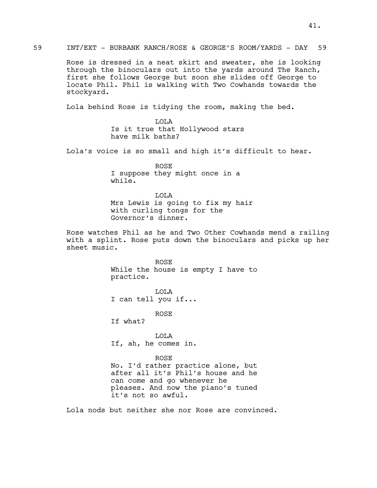Rose is dressed in a neat skirt and sweater, she is looking through the binoculars out into the yards around The Ranch, first she follows George but soon she slides off George to locate Phil. Phil is walking with Two Cowhands towards the stockyard.

Lola behind Rose is tidying the room, making the bed.

LOLA Is it true that Hollywood stars have milk baths?

Lola's voice is so small and high it's difficult to hear.

ROSE I suppose they might once in a while.

LOLA Mrs Lewis is going to fix my hair with curling tongs for the Governor's dinner.

Rose watches Phil as he and Two Other Cowhands mend a railing with a splint. Rose puts down the binoculars and picks up her sheet music.

> ROSE While the house is empty I have to practice.

LOLA I can tell you if...

ROSE

If what?

LOLA If, ah, he comes in.

### ROSE

No. I'd rather practice alone, but after all it's Phil's house and he can come and go whenever he pleases. And now the piano's tuned it's not so awful.

Lola nods but neither she nor Rose are convinced.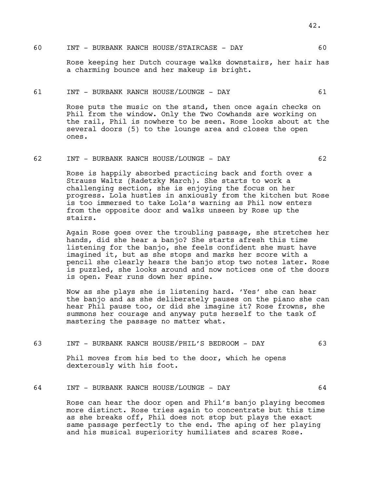# 60 INT - BURBANK RANCH HOUSE/STAIRCASE - DAY 60

Rose keeping her Dutch courage walks downstairs, her hair has a charming bounce and her makeup is bright.

#### 61 INT - BURBANK RANCH HOUSE/LOUNGE - DAY 61

Rose puts the music on the stand, then once again checks on Phil from the window. Only the Two Cowhands are working on the rail, Phil is nowhere to be seen. Rose looks about at the several doors (5) to the lounge area and closes the open ones.

### 62 INT - BURBANK RANCH HOUSE/LOUNGE - DAY 62

Rose is happily absorbed practicing back and forth over a Strauss Waltz (Radetzky March). She starts to work a challenging section, she is enjoying the focus on her progress. Lola hustles in anxiously from the kitchen but Rose is too immersed to take Lola's warning as Phil now enters from the opposite door and walks unseen by Rose up the stairs.

Again Rose goes over the troubling passage, she stretches her hands, did she hear a banjo? She starts afresh this time listening for the banjo, she feels confident she must have imagined it, but as she stops and marks her score with a pencil she clearly hears the banjo stop two notes later. Rose is puzzled, she looks around and now notices one of the doors is open. Fear runs down her spine.

Now as she plays she is listening hard. 'Yes' she can hear the banjo and as she deliberately pauses on the piano she can hear Phil pause too, or did she imagine it? Rose frowns, she summons her courage and anyway puts herself to the task of mastering the passage no matter what.

63 INT - BURBANK RANCH HOUSE/PHIL'S BEDROOM - DAY 63

Phil moves from his bed to the door, which he opens dexterously with his foot.

## 64 INT - BURBANK RANCH HOUSE/LOUNGE - DAY 64

Rose can hear the door open and Phil's banjo playing becomes more distinct. Rose tries again to concentrate but this time as she breaks off, Phil does not stop but plays the exact same passage perfectly to the end. The aping of her playing and his musical superiority humiliates and scares Rose.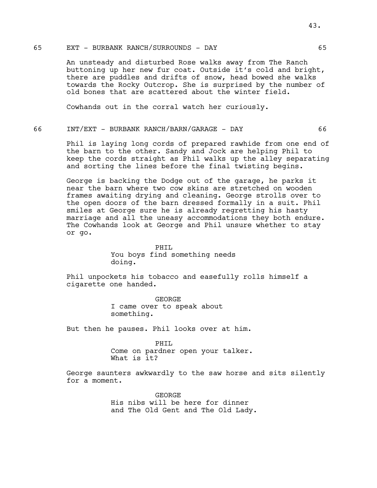## 65 EXT - BURBANK RANCH/SURROUNDS - DAY 65

An unsteady and disturbed Rose walks away from The Ranch buttoning up her new fur coat. Outside it's cold and bright, there are puddles and drifts of snow, head bowed she walks towards the Rocky Outcrop. She is surprised by the number of old bones that are scattered about the winter field.

Cowhands out in the corral watch her curiously.

# 66 INT/EXT - BURBANK RANCH/BARN/GARAGE - DAY 66

Phil is laying long cords of prepared rawhide from one end of the barn to the other. Sandy and Jock are helping Phil to keep the cords straight as Phil walks up the alley separating and sorting the lines before the final twisting begins.

George is backing the Dodge out of the garage, he parks it near the barn where two cow skins are stretched on wooden frames awaiting drying and cleaning. George strolls over to the open doors of the barn dressed formally in a suit. Phil smiles at George sure he is already regretting his hasty marriage and all the uneasy accommodations they both endure. The Cowhands look at George and Phil unsure whether to stay or go.

> PHIL You boys find something needs doing.

Phil unpockets his tobacco and easefully rolls himself a cigarette one handed.

> GEORGE I came over to speak about something.

But then he pauses. Phil looks over at him.

PHIL Come on pardner open your talker. What is it?

George saunters awkwardly to the saw horse and sits silently for a moment.

> GEORGE His nibs will be here for dinner and The Old Gent and The Old Lady.

43.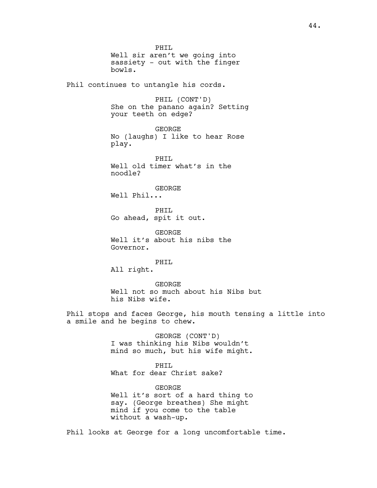PHIL Well sir aren't we going into sassiety - out with the finger bowls. Phil continues to untangle his cords. PHIL (CONT'D) She on the panano again? Setting your teeth on edge? GEORGE No (laughs) I like to hear Rose play. PHTT. Well old timer what's in the noodle? GEORGE Well Phil... PHTT. Go ahead, spit it out. GEORGE Well it's about his nibs the Governor. PHIL All right. GEORGE Well not so much about his Nibs but his Nibs wife.

Phil stops and faces George, his mouth tensing a little into a smile and he begins to chew.

> GEORGE (CONT'D) I was thinking his Nibs wouldn't mind so much, but his wife might.

PHIL What for dear Christ sake?

GEORGE Well it's sort of a hard thing to say. (George breathes) She might mind if you come to the table without a wash-up.

Phil looks at George for a long uncomfortable time.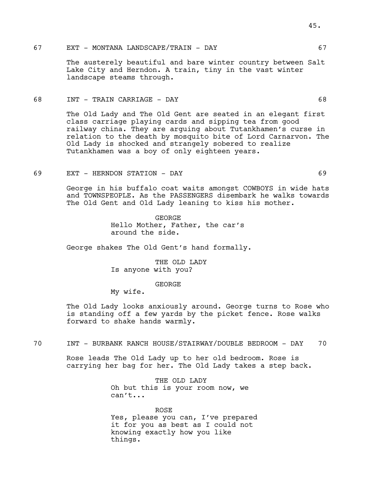## 67 EXT - MONTANA LANDSCAPE/TRAIN - DAY 67

The austerely beautiful and bare winter country between Salt Lake City and Herndon. A train, tiny in the vast winter landscape steams through.

### 68 INT - TRAIN CARRIAGE - DAY 68

The Old Lady and The Old Gent are seated in an elegant first class carriage playing cards and sipping tea from good railway china. They are arguing about Tutankhamen's curse in relation to the death by mosquito bite of Lord Carnarvon. The Old Lady is shocked and strangely sobered to realize Tutankhamen was a boy of only eighteen years.

## 69 EXT - HERNDON STATION - DAY 69

George in his buffalo coat waits amongst COWBOYS in wide hats and TOWNSPEOPLE. As the PASSENGERS disembark he walks towards The Old Gent and Old Lady leaning to kiss his mother.

> GEORGE Hello Mother, Father, the car's around the side.

George shakes The Old Gent's hand formally.

THE OLD LADY Is anyone with you?

GEORGE

My wife.

The Old Lady looks anxiously around. George turns to Rose who is standing off a few yards by the picket fence. Rose walks forward to shake hands warmly.

70 INT - BURBANK RANCH HOUSE/STAIRWAY/DOUBLE BEDROOM - DAY 70

Rose leads The Old Lady up to her old bedroom. Rose is carrying her bag for her. The Old Lady takes a step back.

> THE OLD LADY Oh but this is your room now, we can't...

ROSE Yes, please you can, I've prepared it for you as best as I could not knowing exactly how you like things.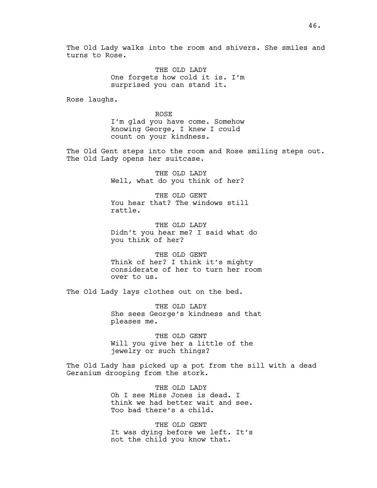The Old Lady walks into the room and shivers. She smiles and turns to Rose.

> THE OLD LADY One forgets how cold it is. I'm surprised you can stand it.

Rose laughs.

ROSE I'm glad you have come. Somehow knowing George, I knew I could count on your kindness.

The Old Gent steps into the room and Rose smiling steps out. The Old Lady opens her suitcase.

> THE OLD LADY Well, what do you think of her?

THE OLD GENT You hear that? The windows still rattle.

THE OLD LADY Didn't you hear me? I said what do you think of her?

THE OLD GENT Think of her? I think it's mighty considerate of her to turn her room over to us.

The Old Lady lays clothes out on the bed.

THE OLD LADY She sees George's kindness and that pleases me.

THE OLD GENT Will you give her a little of the jewelry or such things?

The Old Lady has picked up a pot from the sill with a dead Geranium drooping from the stork.

> THE OLD LADY Oh I see Miss Jones is dead. I think we had better wait and see. Too bad there's a child.

> THE OLD GENT It was dying before we left. It's not the child you know that.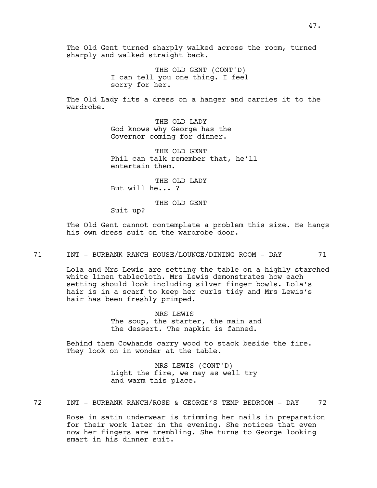THE OLD GENT (CONT'D) I can tell you one thing. I feel sorry for her.

The Old Lady fits a dress on a hanger and carries it to the wardrobe.

> THE OLD LADY God knows why George has the Governor coming for dinner.

THE OLD GENT Phil can talk remember that, he'll entertain them.

THE OLD LADY But will he... ?

THE OLD GENT

Suit up?

The Old Gent cannot contemplate a problem this size. He hangs his own dress suit on the wardrobe door.

71 INT - BURBANK RANCH HOUSE/LOUNGE/DINING ROOM - DAY 71

Lola and Mrs Lewis are setting the table on a highly starched white linen tablecloth. Mrs Lewis demonstrates how each setting should look including silver finger bowls. Lola's hair is in a scarf to keep her curls tidy and Mrs Lewis's hair has been freshly primped.

> MRS LEWIS The soup, the starter, the main and the dessert. The napkin is fanned.

Behind them Cowhands carry wood to stack beside the fire. They look on in wonder at the table.

> MRS LEWIS (CONT'D) Light the fire, we may as well try and warm this place.

72 INT - BURBANK RANCH/ROSE & GEORGE'S TEMP BEDROOM - DAY 72

Rose in satin underwear is trimming her nails in preparation for their work later in the evening. She notices that even now her fingers are trembling. She turns to George looking smart in his dinner suit.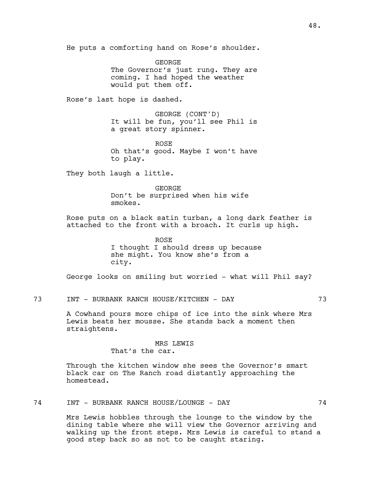He puts a comforting hand on Rose's shoulder.

GEORGE The Governor's just rung. They are coming. I had hoped the weather would put them off.

Rose's last hope is dashed.

GEORGE (CONT'D) It will be fun, you'll see Phil is a great story spinner.

ROSE Oh that's good. Maybe I won't have to play.

They both laugh a little.

GEORGE

Don't be surprised when his wife smokes.

Rose puts on a black satin turban, a long dark feather is attached to the front with a broach. It curls up high.

> ROSE I thought I should dress up because she might. You know she's from a city.

George looks on smiling but worried - what will Phil say?

73 INT - BURBANK RANCH HOUSE/KITCHEN - DAY 73

A Cowhand pours more chips of ice into the sink where Mrs Lewis beats her mousse. She stands back a moment then straightens.

#### MRS LEWIS

That's the car.

Through the kitchen window she sees the Governor's smart black car on The Ranch road distantly approaching the homestead.

74 INT - BURBANK RANCH HOUSE/LOUNGE - DAY 74

Mrs Lewis hobbles through the lounge to the window by the dining table where she will view the Governor arriving and walking up the front steps. Mrs Lewis is careful to stand a good step back so as not to be caught staring.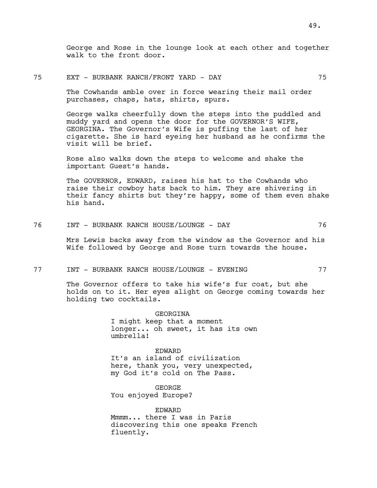George and Rose in the lounge look at each other and together walk to the front door.

### 75 EXT - BURBANK RANCH/FRONT YARD - DAY 75

The Cowhands amble over in force wearing their mail order purchases, chaps, hats, shirts, spurs.

George walks cheerfully down the steps into the puddled and muddy yard and opens the door for the GOVERNOR'S WIFE, GEORGINA. The Governor's Wife is puffing the last of her cigarette. She is hard eyeing her husband as he confirms the visit will be brief.

Rose also walks down the steps to welcome and shake the important Guest's hands.

The GOVERNOR, EDWARD, raises his hat to the Cowhands who raise their cowboy hats back to him. They are shivering in their fancy shirts but they're happy, some of them even shake his hand.

| 76 | - BURBANK RANCH HOUSE/LOUNGE - 7 |  |  |
|----|----------------------------------|--|--|
|----|----------------------------------|--|--|

Mrs Lewis backs away from the window as the Governor and his Wife followed by George and Rose turn towards the house.

77 INT - BURBANK RANCH HOUSE/LOUNGE - EVENING 77

The Governor offers to take his wife's fur coat, but she holds on to it. Her eyes alight on George coming towards her holding two cocktails.

> GEORGINA I might keep that a moment longer... oh sweet, it has its own umbrella!

EDWARD It's an island of civilization here, thank you, very unexpected, my God it's cold on The Pass.

GEORGE You enjoyed Europe?

EDWARD Mmmm... there I was in Paris discovering this one speaks French fluently.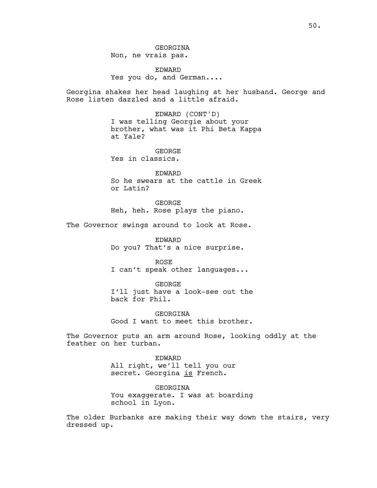EDWARD Yes you do, and German....

Georgina shakes her head laughing at her husband. George and Rose listen dazzled and a little afraid.

> EDWARD (CONT'D) I was telling Georgie about your brother, what was it Phi Beta Kappa at Yale?

GEORGE Yes in classics.

EDWARD So he swears at the cattle in Greek or Latin?

GEORGE Heh, heh. Rose plays the piano.

The Governor swings around to look at Rose.

EDWARD Do you? That's a nice surprise.

ROSE I can't speak other languages...

GEORGE I'll just have a look-see out the back for Phil.

GEORGINA Good I want to meet this brother.

The Governor puts an arm around Rose, looking oddly at the feather on her turban.

> EDWARD All right, we'll tell you our secret. Georgina is French.

GEORGINA You exaggerate. I was at boarding school in Lyon.

The older Burbanks are making their way down the stairs, very dressed up.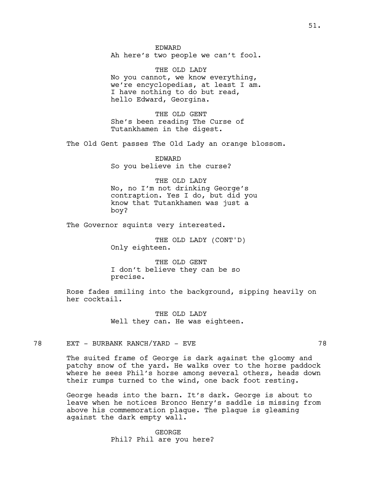EDWARD Ah here's two people we can't fool.

THE OLD LADY No you cannot, we know everything, we're encyclopedias, at least I am. I have nothing to do but read, hello Edward, Georgina.

THE OLD GENT She's been reading The Curse of Tutankhamen in the digest.

The Old Gent passes The Old Lady an orange blossom.

EDWARD So you believe in the curse?

THE OLD LADY No, no I'm not drinking George's contraption. Yes I do, but did you know that Tutankhamen was just a boy?

The Governor squints very interested.

THE OLD LADY (CONT'D) Only eighteen.

THE OLD GENT I don't believe they can be so precise.

Rose fades smiling into the background, sipping heavily on her cocktail.

> THE OLD LADY Well they can. He was eighteen.

78 EXT - BURBANK RANCH/YARD - EVE 78

The suited frame of George is dark against the gloomy and patchy snow of the yard. He walks over to the horse paddock where he sees Phil's horse among several others, heads down their rumps turned to the wind, one back foot resting.

George heads into the barn. It's dark. George is about to leave when he notices Bronco Henry's saddle is missing from above his commemoration plaque. The plaque is gleaming against the dark empty wall.

> GEORGE Phil? Phil are you here?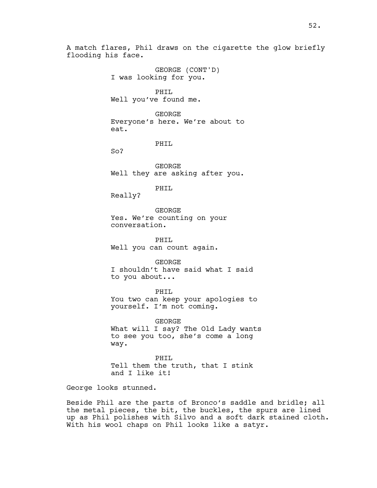A match flares, Phil draws on the cigarette the glow briefly flooding his face.

> GEORGE (CONT'D) I was looking for you.

PHIL Well you've found me.

GEORGE Everyone's here. We're about to eat.

PHIL

So?

GEORGE Well they are asking after you.

PHIL

Really?

GEORGE Yes. We're counting on your conversation.

PHIL Well you can count again.

GEORGE I shouldn't have said what I said to you about...

PHIL You two can keep your apologies to yourself. I'm not coming.

GEORGE What will I say? The Old Lady wants to see you too, she's come a long way.

PHIL Tell them the truth, that I stink and I like it!

George looks stunned.

Beside Phil are the parts of Bronco's saddle and bridle; all the metal pieces, the bit, the buckles, the spurs are lined up as Phil polishes with Silvo and a soft dark stained cloth. With his wool chaps on Phil looks like a satyr.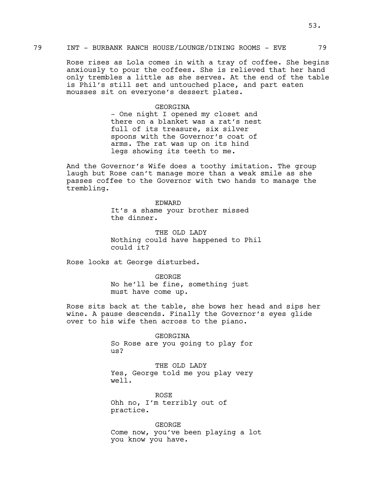### 79 INT - BURBANK RANCH HOUSE/LOUNGE/DINING ROOMS - EVE 79

Rose rises as Lola comes in with a tray of coffee. She begins anxiously to pour the coffees. She is relieved that her hand only trembles a little as she serves. At the end of the table is Phil's still set and untouched place, and part eaten mousses sit on everyone's dessert plates.

### GEORGINA

- One night I opened my closet and there on a blanket was a rat's nest full of its treasure, six silver spoons with the Governor's coat of arms. The rat was up on its hind legs showing its teeth to me.

And the Governor's Wife does a toothy imitation. The group laugh but Rose can't manage more than a weak smile as she passes coffee to the Governor with two hands to manage the trembling.

> EDWARD It's a shame your brother missed the dinner.

THE OLD LADY Nothing could have happened to Phil could it?

Rose looks at George disturbed.

GEORGE No he'll be fine, something just must have come up.

Rose sits back at the table, she bows her head and sips her wine. A pause descends. Finally the Governor's eyes glide over to his wife then across to the piano.

> GEORGINA So Rose are you going to play for us?

> THE OLD LADY Yes, George told me you play very well.

ROSE Ohh no, I'm terribly out of practice.

GEORGE Come now, you've been playing a lot you know you have.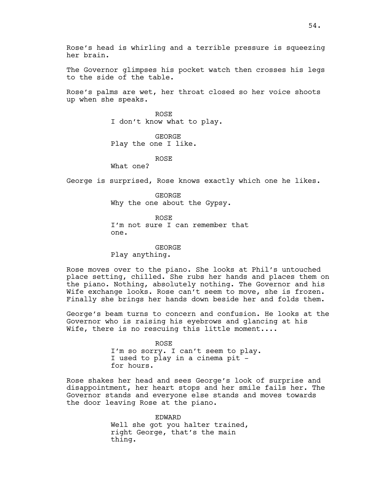The Governor glimpses his pocket watch then crosses his legs to the side of the table.

Rose's palms are wet, her throat closed so her voice shoots up when she speaks.

> ROSE I don't know what to play.

GEORGE Play the one I like.

ROSE

What one?

George is surprised, Rose knows exactly which one he likes.

GEORGE Why the one about the Gypsy.

ROSE I'm not sure I can remember that one.

GEORGE Play anything.

Rose moves over to the piano. She looks at Phil's untouched place setting, chilled. She rubs her hands and places them on the piano. Nothing, absolutely nothing. The Governor and his Wife exchange looks. Rose can't seem to move, she is frozen. Finally she brings her hands down beside her and folds them.

George's beam turns to concern and confusion. He looks at the Governor who is raising his eyebrows and glancing at his Wife, there is no rescuing this little moment....

> ROSE I'm so sorry. I can't seem to play. I used to play in a cinema pit for hours.

Rose shakes her head and sees George's look of surprise and disappointment, her heart stops and her smile fails her. The Governor stands and everyone else stands and moves towards the door leaving Rose at the piano.

> EDWARD Well she got you halter trained, right George, that's the main thing.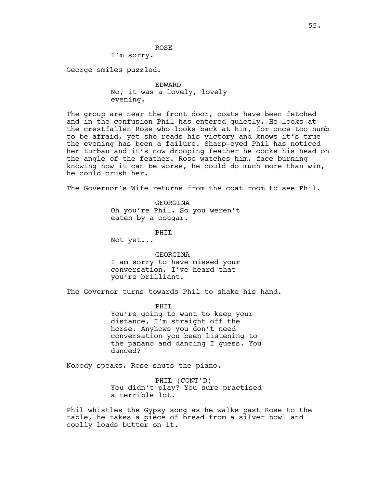I'm sorry.

George smiles puzzled.

EDWARD No, it was a lovely, lovely evening.

ROSE

The group are near the front door, coats have been fetched and in the confusion Phil has entered quietly. He looks at the crestfallen Rose who looks back at him, for once too numb to be afraid, yet she reads his victory and knows it's true the evening has been a failure. Sharp-eyed Phil has noticed her turban and it's now drooping feather he cocks his head on the angle of the feather. Rose watches him, face burning knowing now it can be worse, he could do much more than win, he could crush her.

The Governor's Wife returns from the coat room to see Phil.

GEORGINA Oh you're Phil. So you weren't eaten by a cougar.

PHIL

Not yet...

GEORGINA I am sorry to have missed your conversation, I've heard that you're brilliant.

The Governor turns towards Phil to shake his hand.

PHTT. You're going to want to keep your distance, I'm straight off the horse. Anyhows you don't need conversation you been listening to the panano and dancing I guess. You danced?

Nobody speaks. Rose shuts the piano.

PHIL (CONT'D) You didn't play? You sure practised a terrible lot.

Phil whistles the Gypsy song as he walks past Rose to the table, he takes a piece of bread from a silver bowl and coolly loads butter on it.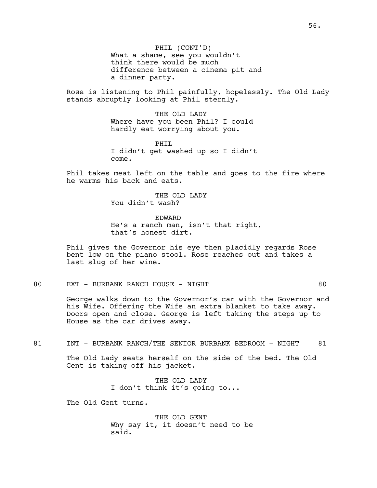PHIL (CONT'D) What a shame, see you wouldn't think there would be much difference between a cinema pit and a dinner party.

Rose is listening to Phil painfully, hopelessly. The Old Lady stands abruptly looking at Phil sternly.

> THE OLD LADY Where have you been Phil? I could hardly eat worrying about you.

PHTT. I didn't get washed up so I didn't come.

Phil takes meat left on the table and goes to the fire where he warms his back and eats.

> THE OLD LADY You didn't wash?

EDWARD He's a ranch man, isn't that right, that's honest dirt.

Phil gives the Governor his eye then placidly regards Rose bent low on the piano stool. Rose reaches out and takes a last slug of her wine.

# 80 EXT - BURBANK RANCH HOUSE - NIGHT 80

George walks down to the Governor's car with the Governor and his Wife. Offering the Wife an extra blanket to take away. Doors open and close. George is left taking the steps up to House as the car drives away.

81 INT - BURBANK RANCH/THE SENIOR BURBANK BEDROOM - NIGHT 81

The Old Lady seats herself on the side of the bed. The Old Gent is taking off his jacket.

> THE OLD LADY I don't think it's going to...

The Old Gent turns.

THE OLD GENT Why say it, it doesn't need to be said.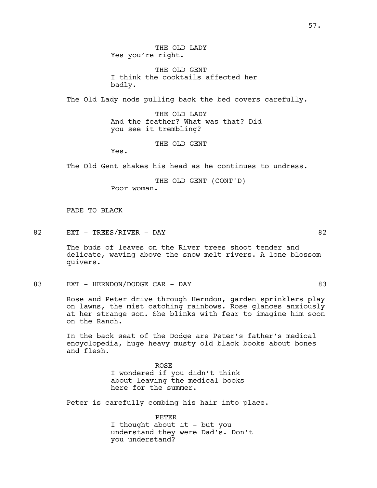THE OLD LADY Yes you're right.

THE OLD GENT I think the cocktails affected her badly.

The Old Lady nods pulling back the bed covers carefully.

THE OLD LADY And the feather? What was that? Did you see it trembling?

THE OLD GENT

Yes.

The Old Gent shakes his head as he continues to undress.

THE OLD GENT (CONT'D) Poor woman.

FADE TO BLACK

82 EXT – TREES/RIVER – DAY 82

The buds of leaves on the River trees shoot tender and delicate, waving above the snow melt rivers. A lone blossom quivers.

83 EXT – HERNDON/DODGE CAR – DAY 63

Rose and Peter drive through Herndon, garden sprinklers play on lawns, the mist catching rainbows. Rose glances anxiously at her strange son. She blinks with fear to imagine him soon on the Ranch.

In the back seat of the Dodge are Peter's father's medical encyclopedia, huge heavy musty old black books about bones and flesh.

> ROSE I wondered if you didn't think about leaving the medical books here for the summer.

Peter is carefully combing his hair into place.

PETER I thought about it - but you understand they were Dad's. Don't you understand?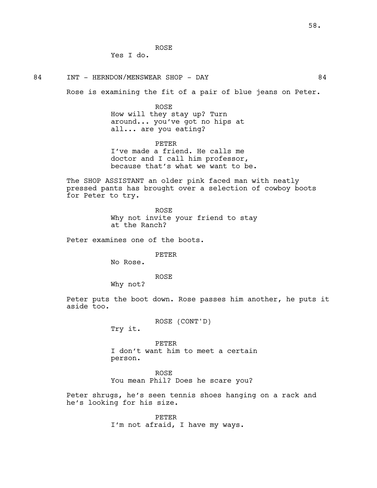ROSE

Yes I do.

84 INT - HERNDON/MENSWEAR SHOP - DAY 64

Rose is examining the fit of a pair of blue jeans on Peter.

ROSE How will they stay up? Turn around... you've got no hips at all... are you eating?

PETER I've made a friend. He calls me doctor and I call him professor, because that's what we want to be.

The SHOP ASSISTANT an older pink faced man with neatly pressed pants has brought over a selection of cowboy boots for Peter to try.

> ROSE Why not invite your friend to stay at the Ranch?

Peter examines one of the boots.

PETER

No Rose.

ROSE

Why not?

Peter puts the boot down. Rose passes him another, he puts it aside too.

ROSE (CONT'D)

Try it.

PETER I don't want him to meet a certain person.

ROSE

You mean Phil? Does he scare you?

Peter shrugs, he's seen tennis shoes hanging on a rack and he's looking for his size.

> PETER I'm not afraid, I have my ways.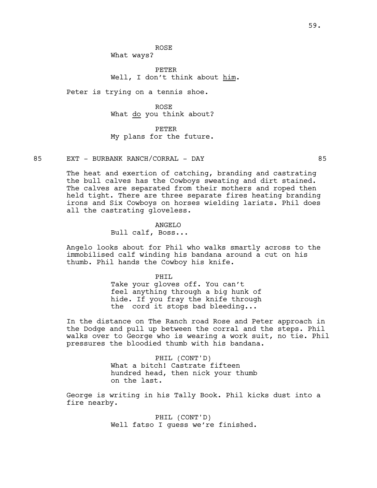PETER Well, I don't think about him.

Peter is trying on a tennis shoe.

ROSE What do you think about?

PETER My plans for the future.

85 EXT - BURBANK RANCH/CORRAL - DAY 85

The heat and exertion of catching, branding and castrating the bull calves has the Cowboys sweating and dirt stained. The calves are separated from their mothers and roped then held tight. There are three separate fires heating branding irons and Six Cowboys on horses wielding lariats. Phil does all the castrating gloveless.

ANGELO

Bull calf, Boss...

Angelo looks about for Phil who walks smartly across to the immobilised calf winding his bandana around a cut on his thumb. Phil hands the Cowboy his knife.

> PHTT. Take your gloves off. You can't feel anything through a big hunk of hide. If you fray the knife through the cord it stops bad bleeding...

In the distance on The Ranch road Rose and Peter approach in the Dodge and pull up between the corral and the steps. Phil walks over to George who is wearing a work suit, no tie. Phil pressures the bloodied thumb with his bandana.

> PHIL (CONT'D) What a bitch! Castrate fifteen hundred head, then nick your thumb on the last.

George is writing in his Tally Book. Phil kicks dust into a fire nearby.

> PHIL (CONT'D) Well fatso I guess we're finished.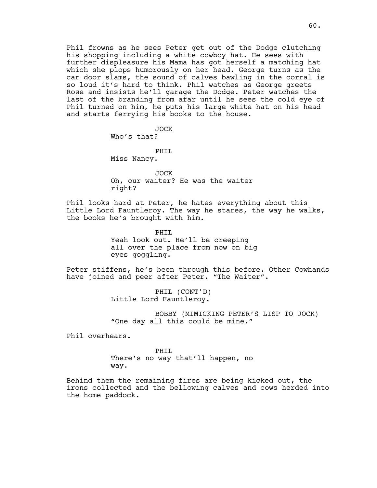Phil frowns as he sees Peter get out of the Dodge clutching his shopping including a white cowboy hat. He sees with further displeasure his Mama has got herself a matching hat which she plops humorously on her head. George turns as the car door slams, the sound of calves bawling in the corral is so loud it's hard to think. Phil watches as George greets Rose and insists he'll garage the Dodge. Peter watches the last of the branding from afar until he sees the cold eye of Phil turned on him, he puts his large white hat on his head and starts ferrying his books to the house.

> JOCK Who's that?

> PHIL Miss Nancy.

JOCK Oh, our waiter? He was the waiter right?

Phil looks hard at Peter, he hates everything about this Little Lord Fauntleroy. The way he stares, the way he walks, the books he's brought with him.

> PHIL Yeah look out. He'll be creeping all over the place from now on big eyes goggling.

Peter stiffens, he's been through this before. Other Cowhands have joined and peer after Peter. "The Waiter".

> PHIL (CONT'D) Little Lord Fauntleroy.

BOBBY (MIMICKING PETER'S LISP TO JOCK) "One day all this could be mine."

Phil overhears.

PHIL There's no way that'll happen, no way.

Behind them the remaining fires are being kicked out, the irons collected and the bellowing calves and cows herded into the home paddock.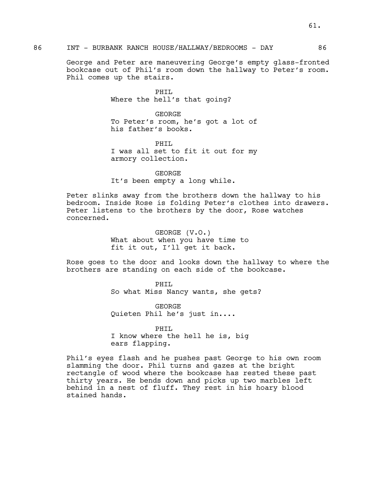George and Peter are maneuvering George's empty glass-fronted bookcase out of Phil's room down the hallway to Peter's room. Phil comes up the stairs.

> PHIL Where the hell's that going?

GEORGE To Peter's room, he's got a lot of his father's books.

PHTT. I was all set to fit it out for my armory collection.

GEORGE It's been empty a long while.

Peter slinks away from the brothers down the hallway to his bedroom. Inside Rose is folding Peter's clothes into drawers. Peter listens to the brothers by the door, Rose watches concerned.

> GEORGE (V.O.) What about when you have time to fit it out, I'll get it back.

Rose goes to the door and looks down the hallway to where the brothers are standing on each side of the bookcase.

> PHIL So what Miss Nancy wants, she gets?

GEORGE Quieten Phil he's just in....

PHIL I know where the hell he is, big ears flapping.

Phil's eyes flash and he pushes past George to his own room slamming the door. Phil turns and gazes at the bright rectangle of wood where the bookcase has rested these past thirty years. He bends down and picks up two marbles left behind in a nest of fluff. They rest in his hoary blood stained hands.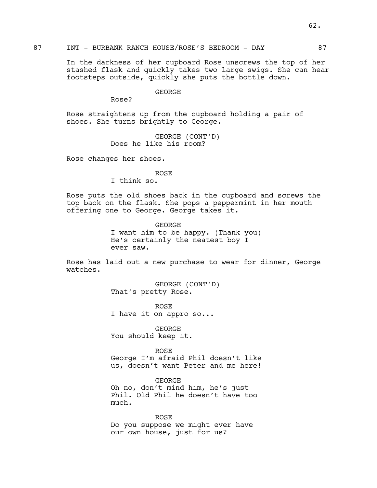In the darkness of her cupboard Rose unscrews the top of her stashed flask and quickly takes two large swigs. She can hear footsteps outside, quickly she puts the bottle down.

# GEORGE

Rose?

Rose straightens up from the cupboard holding a pair of shoes. She turns brightly to George.

> GEORGE (CONT'D) Does he like his room?

Rose changes her shoes.

### ROSE

I think so.

Rose puts the old shoes back in the cupboard and screws the top back on the flask. She pops a peppermint in her mouth offering one to George. George takes it.

> **GEORGE** I want him to be happy. (Thank you) He's certainly the neatest boy I ever saw.

Rose has laid out a new purchase to wear for dinner, George watches.

> GEORGE (CONT'D) That's pretty Rose.

ROSE I have it on appro so...

GEORGE You should keep it.

ROSE George I'm afraid Phil doesn't like us, doesn't want Peter and me here!

GEORGE Oh no, don't mind him, he's just Phil. Old Phil he doesn't have too much.

ROSE Do you suppose we might ever have our own house, just for us?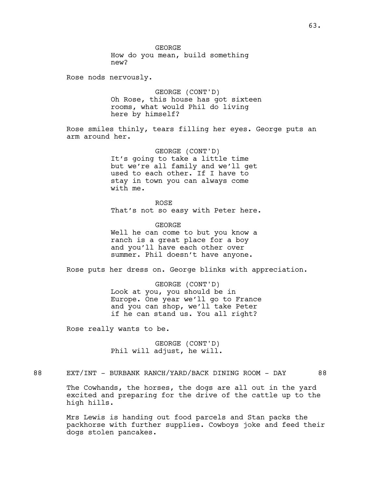Rose nods nervously.

GEORGE (CONT'D) Oh Rose, this house has got sixteen rooms, what would Phil do living here by himself?

Rose smiles thinly, tears filling her eyes. George puts an arm around her.

> GEORGE (CONT'D) It's going to take a little time but we're all family and we'll get used to each other. If I have to stay in town you can always come with me.

ROSE That's not so easy with Peter here.

GEORGE Well he can come to but you know a ranch is a great place for a boy and you'll have each other over summer. Phil doesn't have anyone.

Rose puts her dress on. George blinks with appreciation.

GEORGE (CONT'D) Look at you, you should be in Europe. One year we'll go to France and you can shop, we'll take Peter if he can stand us. You all right?

Rose really wants to be.

GEORGE (CONT'D) Phil will adjust, he will.

88 EXT/INT - BURBANK RANCH/YARD/BACK DINING ROOM - DAY 88

The Cowhands, the horses, the dogs are all out in the yard excited and preparing for the drive of the cattle up to the high hills.

Mrs Lewis is handing out food parcels and Stan packs the packhorse with further supplies. Cowboys joke and feed their dogs stolen pancakes.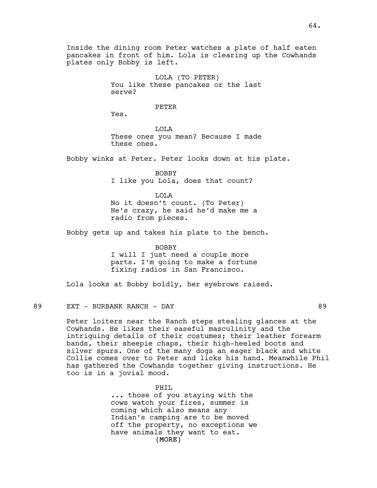Inside the dining room Peter watches a plate of half eaten pancakes in front of him. Lola is clearing up the Cowhands plates only Bobby is left.

> LOLA (TO PETER) You like these pancakes or the last serve?

### PETER

Yes.

LOLA These ones you mean? Because I made these ones.

Bobby winks at Peter. Peter looks down at his plate.

BOBBY I like you Lola, does that count?

LOLA No it doesn't count. (To Peter) He's crazy, he said he'd make me a radio from pieces.

Bobby gets up and takes his plate to the bench.

BOBBY I will I just need a couple more parts. I'm going to make a fortune fixing radios in San Francisco.

Lola looks at Bobby boldly, her eyebrows raised.

### 89 EXT - BURBANK RANCH - DAY 89

Peter loiters near the Ranch steps stealing glances at the Cowhands. He likes their easeful masculinity and the intriguing details of their costumes; their leather forearm bands, their sheepie chaps, their high-heeled boots and silver spurs. One of the many dogs an eager black and white Collie comes over to Peter and licks his hand. Meanwhile Phil has gathered the Cowhands together giving instructions. He too is in a jovial mood.

> (MORE) PHTT. ... those of you staying with the cows watch your fires, summer is coming which also means any Indian's camping are to be moved off the property, no exceptions we have animals they want to eat.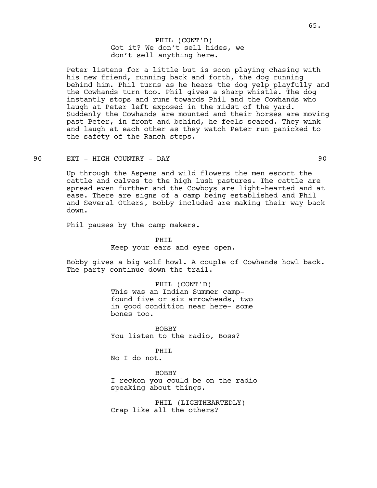# PHIL (CONT'D) Got it? We don't sell hides, we don't sell anything here.

Peter listens for a little but is soon playing chasing with his new friend, running back and forth, the dog running behind him. Phil turns as he hears the dog yelp playfully and the Cowhands turn too. Phil gives a sharp whistle. The dog instantly stops and runs towards Phil and the Cowhands who laugh at Peter left exposed in the midst of the yard. Suddenly the Cowhands are mounted and their horses are moving past Peter, in front and behind, he feels scared. They wink and laugh at each other as they watch Peter run panicked to the safety of the Ranch steps.

### 90 EXT - HIGH COUNTRY - DAY 90

Up through the Aspens and wild flowers the men escort the cattle and calves to the high lush pastures. The cattle are spread even further and the Cowboys are light-hearted and at ease. There are signs of a camp being established and Phil and Several Others, Bobby included are making their way back down.

Phil pauses by the camp makers.

# PHIL Keep your ears and eyes open.

Bobby gives a big wolf howl. A couple of Cowhands howl back. The party continue down the trail.

### PHIL (CONT'D)

This was an Indian Summer campfound five or six arrowheads, two in good condition near here- some bones too.

BOBBY You listen to the radio, Boss?

### PHIL

No I do not.

BOBBY I reckon you could be on the radio speaking about things.

PHIL (LIGHTHEARTEDLY) Crap like all the others?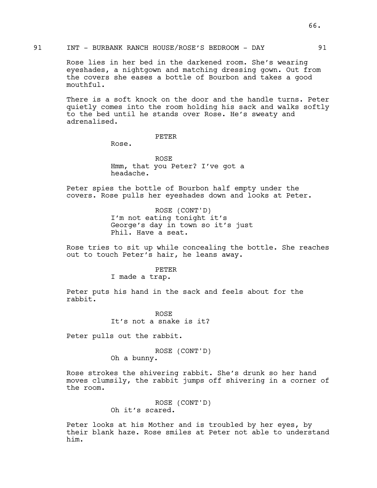Rose lies in her bed in the darkened room. She's wearing eyeshades, a nightgown and matching dressing gown. Out from the covers she eases a bottle of Bourbon and takes a good mouthful.

There is a soft knock on the door and the handle turns. Peter quietly comes into the room holding his sack and walks softly to the bed until he stands over Rose. He's sweaty and adrenalised.

### PETER

Rose.

ROSE Hmm, that you Peter? I've got a headache.

Peter spies the bottle of Bourbon half empty under the covers. Rose pulls her eyeshades down and looks at Peter.

> ROSE (CONT'D) I'm not eating tonight it's George's day in town so it's just Phil. Have a seat.

Rose tries to sit up while concealing the bottle. She reaches out to touch Peter's hair, he leans away.

### PETER

I made a trap.

Peter puts his hand in the sack and feels about for the rabbit.

> ROSE It's not a snake is it?

Peter pulls out the rabbit.

#### ROSE (CONT'D)

Oh a bunny.

Rose strokes the shivering rabbit. She's drunk so her hand moves clumsily, the rabbit jumps off shivering in a corner of the room.

> ROSE (CONT'D) Oh it's scared.

Peter looks at his Mother and is troubled by her eyes, by their blank haze. Rose smiles at Peter not able to understand him.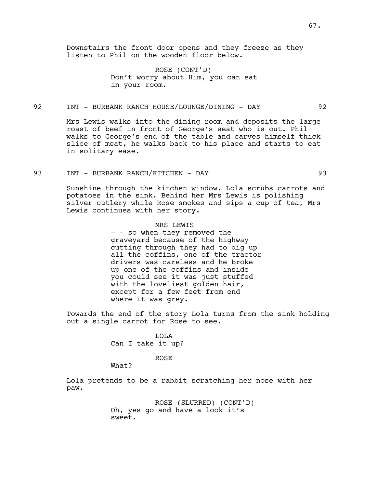# ROSE (CONT'D) Don't worry about Him, you can eat in your room.

## 92 INT - BURBANK RANCH HOUSE/LOUNGE/DINING - DAY 92

Mrs Lewis walks into the dining room and deposits the large roast of beef in front of George's seat who is out. Phil walks to George's end of the table and carves himself thick slice of meat, he walks back to his place and starts to eat in solitary ease.

93 INT - BURBANK RANCH/KITCHEN - DAY 93

Sunshine through the kitchen window. Lola scrubs carrots and potatoes in the sink. Behind her Mrs Lewis is polishing silver cutlery while Rose smokes and sips a cup of tea, Mrs Lewis continues with her story.

# MRS LEWIS

- - so when they removed the graveyard because of the highway cutting through they had to dig up all the coffins, one of the tractor drivers was careless and he broke up one of the coffins and inside you could see it was just stuffed with the loveliest golden hair, except for a few feet from end where it was grey.

Towards the end of the story Lola turns from the sink holding out a single carrot for Rose to see.

> LOLA Can I take it up?

### ROSE

What?

Lola pretends to be a rabbit scratching her nose with her paw.

> ROSE (SLURRED) (CONT'D) Oh, yes go and have a look it's sweet.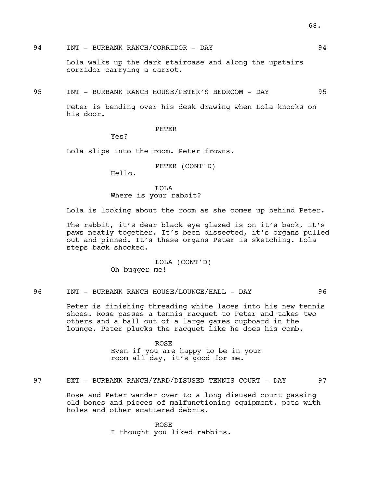94 INT - BURBANK RANCH/CORRIDOR - DAY 94

Lola walks up the dark staircase and along the upstairs corridor carrying a carrot.

95 INT - BURBANK RANCH HOUSE/PETER'S BEDROOM - DAY 95

Peter is bending over his desk drawing when Lola knocks on his door.

PETER

Yes?

Lola slips into the room. Peter frowns.

PETER (CONT'D)

Hello.

LOLA Where is your rabbit?

Lola is looking about the room as she comes up behind Peter.

The rabbit, it's dear black eye glazed is on it's back, it's paws neatly together. It's been dissected, it's organs pulled out and pinned. It's these organs Peter is sketching. Lola steps back shocked.

> LOLA (CONT'D) Oh bugger me!

96 INT - BURBANK RANCH HOUSE/LOUNGE/HALL - DAY 96

Peter is finishing threading white laces into his new tennis shoes. Rose passes a tennis racquet to Peter and takes two others and a ball out of a large games cupboard in the lounge. Peter plucks the racquet like he does his comb.

> ROSE Even if you are happy to be in your room all day, it's good for me.

97 EXT - BURBANK RANCH/YARD/DISUSED TENNIS COURT - DAY 97

Rose and Peter wander over to a long disused court passing old bones and pieces of malfunctioning equipment, pots with holes and other scattered debris.

> ROSE I thought you liked rabbits.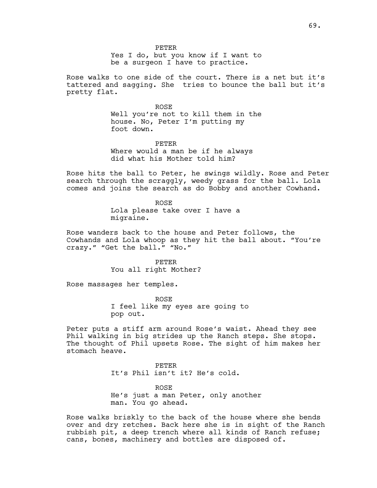Yes I do, but you know if I want to be a surgeon I have to practice.

Rose walks to one side of the court. There is a net but it's tattered and sagging. She tries to bounce the ball but it's pretty flat.

> ROSE Well you're not to kill them in the house. No, Peter I'm putting my foot down.

PETER Where would a man be if he always did what his Mother told him?

Rose hits the ball to Peter, he swings wildly. Rose and Peter search through the scraggly, weedy grass for the ball. Lola comes and joins the search as do Bobby and another Cowhand.

> ROSE Lola please take over I have a migraine.

Rose wanders back to the house and Peter follows, the Cowhands and Lola whoop as they hit the ball about. "You're crazy." "Get the ball." "No."

> PETER You all right Mother?

Rose massages her temples.

ROSE I feel like my eyes are going to pop out.

Peter puts a stiff arm around Rose's waist. Ahead they see Phil walking in big strides up the Ranch steps. She stops. The thought of Phil upsets Rose. The sight of him makes her stomach heave.

> PETER It's Phil isn't it? He's cold.

ROSE He's just a man Peter, only another man. You go ahead.

Rose walks briskly to the back of the house where she bends over and dry retches. Back here she is in sight of the Ranch rubbish pit, a deep trench where all kinds of Ranch refuse; cans, bones, machinery and bottles are disposed of.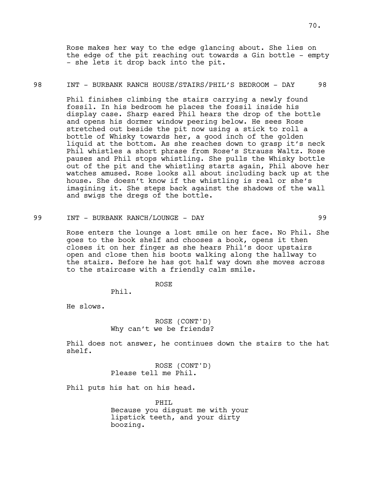Rose makes her way to the edge glancing about. She lies on the edge of the pit reaching out towards a Gin bottle - empty - she lets it drop back into the pit.

## 98 INT - BURBANK RANCH HOUSE/STAIRS/PHIL'S BEDROOM - DAY 98

Phil finishes climbing the stairs carrying a newly found fossil. In his bedroom he places the fossil inside his display case. Sharp eared Phil hears the drop of the bottle and opens his dormer window peering below. He sees Rose stretched out beside the pit now using a stick to roll a bottle of Whisky towards her, a good inch of the golden liquid at the bottom. As she reaches down to grasp it's neck Phil whistles a short phrase from Rose's Strauss Waltz. Rose pauses and Phil stops whistling. She pulls the Whisky bottle out of the pit and the whistling starts again, Phil above her watches amused. Rose looks all about including back up at the house. She doesn't know if the whistling is real or she's imagining it. She steps back against the shadows of the wall and swigs the dregs of the bottle.

99 INT - BURBANK RANCH/LOUNGE - DAY 99

Rose enters the lounge a lost smile on her face. No Phil. She goes to the book shelf and chooses a book, opens it then closes it on her finger as she hears Phil's door upstairs open and close then his boots walking along the hallway to the stairs. Before he has got half way down she moves across to the staircase with a friendly calm smile.

# ROSE

Phil.

He slows.

ROSE (CONT'D) Why can't we be friends?

Phil does not answer, he continues down the stairs to the hat shelf.

> ROSE (CONT'D) Please tell me Phil.

Phil puts his hat on his head.

PHIL Because you disgust me with your lipstick teeth, and your dirty boozing.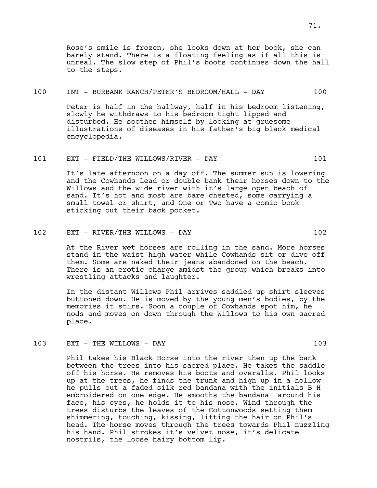Rose's smile is frozen, she looks down at her book, she can barely stand. There is a floating feeling as if all this is unreal. The slow step of Phil's boots continues down the hall to the steps.

### 100 INT - BURBANK RANCH/PETER'S BEDROOM/HALL - DAY 100

Peter is half in the hallway, half in his bedroom listening, slowly he withdraws to his bedroom tight lipped and disturbed. He soothes himself by looking at gruesome illustrations of diseases in his father's big black medical encyclopedia.

### 101 EXT - FIELD/THE WILLOWS/RIVER - DAY 101

It's late afternoon on a day off. The summer sun is lowering and the Cowhands lead or double bank their horses down to the Willows and the wide river with it's large open beach of sand. It's hot and most are bare chested, some carrying a small towel or shirt, and One or Two have a comic book sticking out their back pocket.

# 102 EXT - RIVER/THE WILLOWS - DAY 102

At the River wet horses are rolling in the sand. More horses stand in the waist high water while Cowhands sit or dive off them. Some are naked their jeans abandoned on the beach. There is an erotic charge amidst the group which breaks into wrestling attacks and laughter.

In the distant Willows Phil arrives saddled up shirt sleeves buttoned down. He is moved by the young men's bodies, by the memories it stirs. Soon a couple of Cowhands spot him, he nods and moves on down through the Willows to his own sacred place.

### 103 EXT - THE WILLOWS - DAY 103

Phil takes his Black Horse into the river then up the bank between the trees into his sacred place. He takes the saddle off his horse. He removes his boots and overalls. Phil looks up at the trees, he finds the trunk and high up in a hollow he pulls out a faded silk red bandana with the initials B H embroidered on one edge. He smooths the bandana around his face, his eyes, he holds it to his nose. Wind through the trees disturbs the leaves of the Cottonwoods setting them shimmering, touching, kissing, lifting the hair on Phil's head. The horse moves through the trees towards Phil nuzzling his hand. Phil strokes it's velvet nose, it's delicate nostrils, the loose hairy bottom lip.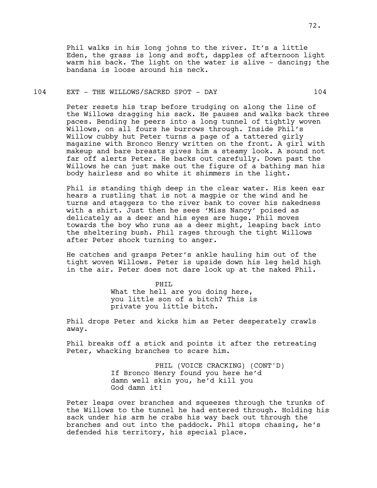Phil walks in his long johns to the river. It's a little Eden, the grass is long and soft, dapples of afternoon light warm his back. The light on the water is alive - dancing; the bandana is loose around his neck.

## 104 EXT - THE WILLOWS/SACRED SPOT - DAY 104

Peter resets his trap before trudging on along the line of the Willows dragging his sack. He pauses and walks back three paces. Bending he peers into a long tunnel of tightly woven Willows, on all fours he burrows through. Inside Phil's Willow cubby hut Peter turns a page of a tattered girly magazine with Bronco Henry written on the front. A girl with makeup and bare breasts gives him a steamy look. A sound not far off alerts Peter. He backs out carefully. Down past the Willows he can just make out the figure of a bathing man his body hairless and so white it shimmers in the light.

Phil is standing thigh deep in the clear water. His keen ear hears a rustling that is not a magpie or the wind and he turns and staggers to the river bank to cover his nakedness with a shirt. Just then he sees 'Miss Nancy' poised as delicately as a deer and his eyes are huge. Phil moves towards the boy who runs as a deer might, leaping back into the sheltering bush. Phil rages through the tight Willows after Peter shock turning to anger.

He catches and grasps Peter's ankle hauling him out of the tight woven Willows. Peter is upside down his leg held high in the air. Peter does not dare look up at the naked Phil.

#### PHIL

What the hell are you doing here, you little son of a bitch? This is private you little bitch.

Phil drops Peter and kicks him as Peter desperately crawls away.

Phil breaks off a stick and points it after the retreating Peter, whacking branches to scare him.

> PHIL (VOICE CRACKING) (CONT'D) If Bronco Henry found you here he'd damn well skin you, he'd kill you God damn it!

Peter leaps over branches and squeezes through the trunks of the Willows to the tunnel he had entered through. Holding his sack under his arm he crabs his way back out through the branches and out into the paddock. Phil stops chasing, he's defended his territory, his special place.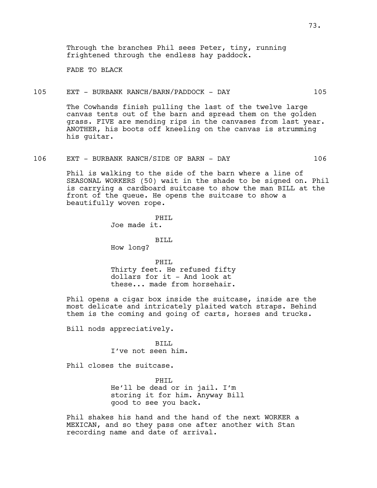Through the branches Phil sees Peter, tiny, running frightened through the endless hay paddock.

FADE TO BLACK

## 105 EXT - BURBANK RANCH/BARN/PADDOCK - DAY 105

The Cowhands finish pulling the last of the twelve large canvas tents out of the barn and spread them on the golden grass. FIVE are mending rips in the canvases from last year. ANOTHER, his boots off kneeling on the canvas is strumming his guitar.

## 106 EXT - BURBANK RANCH/SIDE OF BARN - DAY 106

Phil is walking to the side of the barn where a line of SEASONAL WORKERS (50) wait in the shade to be signed on. Phil is carrying a cardboard suitcase to show the man BILL at the front of the queue. He opens the suitcase to show a beautifully woven rope.

> PHIL Joe made it.

> BILL How long?

PHIL Thirty feet. He refused fifty dollars for it - And look at these... made from horsehair.

Phil opens a cigar box inside the suitcase, inside are the most delicate and intricately plaited watch straps. Behind them is the coming and going of carts, horses and trucks.

Bill nods appreciatively.

BILL I've not seen him.

Phil closes the suitcase.

PHIL He'll be dead or in jail. I'm storing it for him. Anyway Bill good to see you back.

Phil shakes his hand and the hand of the next WORKER a MEXICAN, and so they pass one after another with Stan recording name and date of arrival.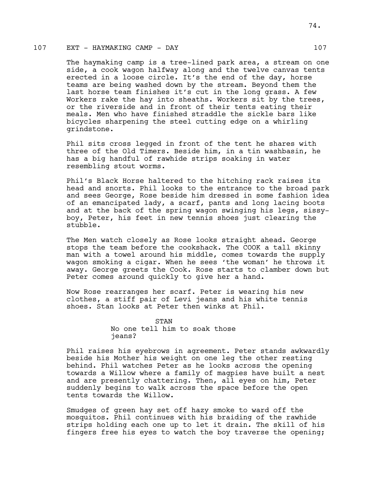# 107 EXT - HAYMAKING CAMP - DAY 107

The haymaking camp is a tree-lined park area, a stream on one side, a cook wagon halfway along and the twelve canvas tents erected in a loose circle. It's the end of the day, horse teams are being washed down by the stream. Beyond them the last horse team finishes it's cut in the long grass. A few Workers rake the hay into sheaths. Workers sit by the trees, or the riverside and in front of their tents eating their meals. Men who have finished straddle the sickle bars like bicycles sharpening the steel cutting edge on a whirling grindstone.

Phil sits cross legged in front of the tent he shares with three of the Old Timers. Beside him, in a tin washbasin, he has a big handful of rawhide strips soaking in water resembling stout worms.

Phil's Black Horse haltered to the hitching rack raises its head and snorts. Phil looks to the entrance to the broad park and sees George, Rose beside him dressed in some fashion idea of an emancipated lady, a scarf, pants and long lacing boots and at the back of the spring wagon swinging his legs, sissyboy, Peter, his feet in new tennis shoes just clearing the stubble.

The Men watch closely as Rose looks straight ahead. George stops the team before the cookshack. The COOK a tall skinny man with a towel around his middle, comes towards the supply wagon smoking a cigar. When he sees 'the woman' he throws it away. George greets the Cook. Rose starts to clamber down but Peter comes around quickly to give her a hand.

Now Rose rearranges her scarf. Peter is wearing his new clothes, a stiff pair of Levi jeans and his white tennis shoes. Stan looks at Peter then winks at Phil.

> **STAN** No one tell him to soak those jeans?

Phil raises his eyebrows in agreement. Peter stands awkwardly beside his Mother his weight on one leg the other resting behind. Phil watches Peter as he looks across the opening towards a Willow where a family of magpies have built a nest and are presently chattering. Then, all eyes on him, Peter suddenly begins to walk across the space before the open tents towards the Willow.

Smudges of green hay set off hazy smoke to ward off the mosquitos. Phil continues with his braiding of the rawhide strips holding each one up to let it drain. The skill of his fingers free his eyes to watch the boy traverse the opening;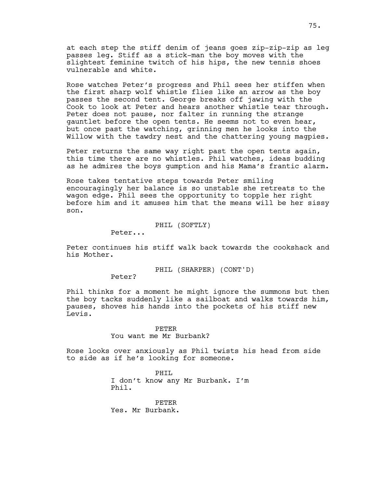at each step the stiff denim of jeans goes zip-zip-zip as leg passes leg. Stiff as a stick-man the boy moves with the slightest feminine twitch of his hips, the new tennis shoes vulnerable and white.

Rose watches Peter's progress and Phil sees her stiffen when the first sharp wolf whistle flies like an arrow as the boy passes the second tent. George breaks off jawing with the Cook to look at Peter and hears another whistle tear through. Peter does not pause, nor falter in running the strange gauntlet before the open tents. He seems not to even hear, but once past the watching, grinning men he looks into the Willow with the tawdry nest and the chattering young magpies.

Peter returns the same way right past the open tents again, this time there are no whistles. Phil watches, ideas budding as he admires the boys gumption and his Mama's frantic alarm.

Rose takes tentative steps towards Peter smiling encouragingly her balance is so unstable she retreats to the wagon edge. Phil sees the opportunity to topple her right before him and it amuses him that the means will be her sissy son.

PHIL (SOFTLY)

Peter...

Peter continues his stiff walk back towards the cookshack and his Mother.

PHIL (SHARPER) (CONT'D)

Peter?

Phil thinks for a moment he might ignore the summons but then the boy tacks suddenly like a sailboat and walks towards him, pauses, shoves his hands into the pockets of his stiff new Levis.

#### PETER

You want me Mr Burbank?

Rose looks over anxiously as Phil twists his head from side to side as if he's looking for someone.

> PHTT. I don't know any Mr Burbank. I'm Phil.

PETER Yes. Mr Burbank.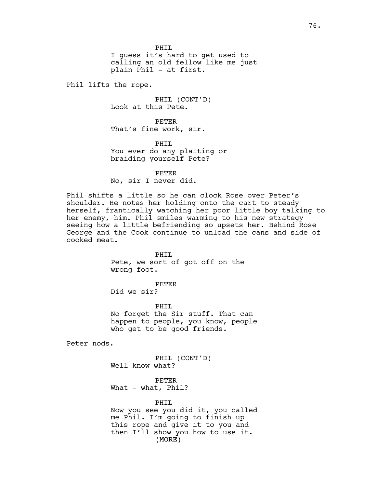PHTT. I guess it's hard to get used to calling an old fellow like me just plain Phil - at first.

Phil lifts the rope.

PHIL (CONT'D) Look at this Pete.

PETER That's fine work, sir.

PHIL You ever do any plaiting or braiding yourself Pete?

PETER No, sir I never did.

Phil shifts a little so he can clock Rose over Peter's shoulder. He notes her holding onto the cart to steady herself, frantically watching her poor little boy talking to her enemy, him. Phil smiles warming to his new strategy seeing how a little befriending so upsets her. Behind Rose George and the Cook continue to unload the cans and side of cooked meat.

> PHIL Pete, we sort of got off on the wrong foot.

PETER Did we sir?

PHTT. No forget the Sir stuff. That can happen to people, you know, people who get to be good friends.

Peter nods.

PHIL (CONT'D) Well know what?

PETER What - what, Phil?

(MORE) PHIL Now you see you did it, you called me Phil. I'm going to finish up this rope and give it to you and then I'll show you how to use it.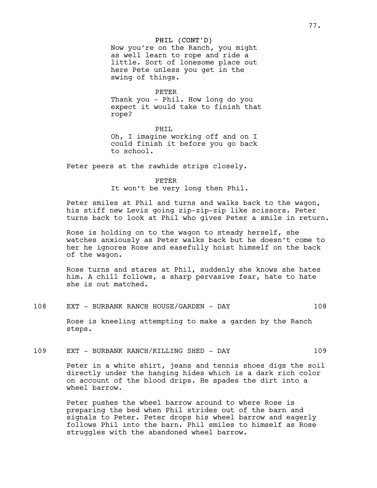## PHIL (CONT'D)

Now you're on the Ranch, you might as well learn to rope and ride a little. Sort of lonesome place out here Pete unless you get in the swing of things.

PETER

Thank you - Phil. How long do you expect it would take to finish that rope?

PHIL Oh, I imagine working off and on I could finish it before you go back to school.

Peter peers at the rawhide strips closely.

PETER

It won't be very long then Phil.

Peter smiles at Phil and turns and walks back to the wagon, his stiff new Levis going zip-zip-zip like scissors. Peter turns back to look at Phil who gives Peter a smile in return.

Rose is holding on to the wagon to steady herself, she watches anxiously as Peter walks back but he doesn't come to her he ignores Rose and easefully hoist himself on the back of the wagon.

Rose turns and stares at Phil, suddenly she knows she hates him. A chill follows, a sharp pervasive fear, hate to hate she is out matched.

108 EXT - BURBANK RANCH HOUSE/GARDEN - DAY 108

Rose is kneeling attempting to make a garden by the Ranch steps.

109 EXT - BURBANK RANCH/KILLING SHED - DAY 109

Peter in a white shirt, jeans and tennis shoes digs the soil directly under the hanging hides which is a dark rich color on account of the blood drips. He spades the dirt into a wheel barrow.

Peter pushes the wheel barrow around to where Rose is preparing the bed when Phil strides out of the barn and signals to Peter. Peter drops his wheel barrow and eagerly follows Phil into the barn. Phil smiles to himself as Rose struggles with the abandoned wheel barrow.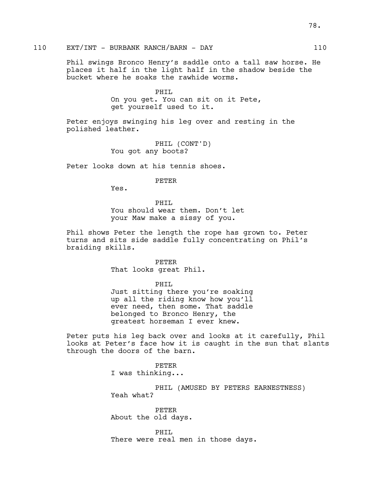# 110 EXT/INT - BURBANK RANCH/BARN - DAY 110

Phil swings Bronco Henry's saddle onto a tall saw horse. He places it half in the light half in the shadow beside the bucket where he soaks the rawhide worms.

> PHIL On you get. You can sit on it Pete, get yourself used to it.

Peter enjoys swinging his leg over and resting in the polished leather.

> PHIL (CONT'D) You got any boots?

Peter looks down at his tennis shoes.

#### PETER

Yes.

PHIL You should wear them. Don't let your Maw make a sissy of you.

Phil shows Peter the length the rope has grown to. Peter turns and sits side saddle fully concentrating on Phil's braiding skills.

PETER

That looks great Phil.

PHIL

Just sitting there you're soaking up all the riding know how you'll ever need, then some. That saddle belonged to Bronco Henry, the greatest horseman I ever knew.

Peter puts his leg back over and looks at it carefully, Phil looks at Peter's face how it is caught in the sun that slants through the doors of the barn.

> PETER I was thinking...

PHIL (AMUSED BY PETERS EARNESTNESS) Yeah what?

PETER About the old days.

PHIL There were real men in those days.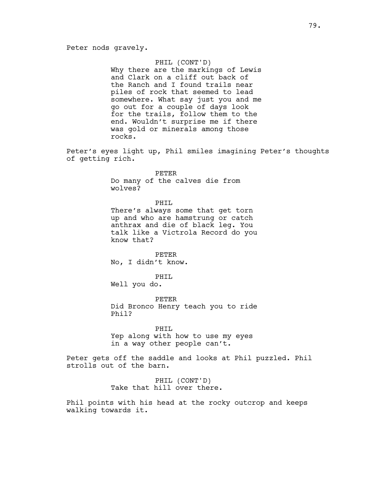## PHIL (CONT'D)

Why there are the markings of Lewis and Clark on a cliff out back of the Ranch and I found trails near piles of rock that seemed to lead somewhere. What say just you and me go out for a couple of days look for the trails, follow them to the end. Wouldn't surprise me if there was gold or minerals among those rocks.

Peter's eyes light up, Phil smiles imagining Peter's thoughts of getting rich.

> PETER Do many of the calves die from wolves?

PHIL There's always some that get torn up and who are hamstrung or catch anthrax and die of black leg. You talk like a Victrola Record do you know that?

PETER No, I didn't know.

PHTT. Well you do.

PETER Did Bronco Henry teach you to ride Phil?

PHIL Yep along with how to use my eyes in a way other people can't.

Peter gets off the saddle and looks at Phil puzzled. Phil strolls out of the barn.

> PHIL (CONT'D) Take that hill over there.

Phil points with his head at the rocky outcrop and keeps walking towards it.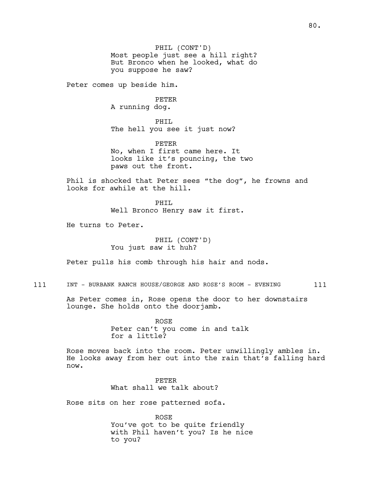PHIL (CONT'D) Most people just see a hill right? But Bronco when he looked, what do you suppose he saw?

Peter comes up beside him.

PETER A running dog.

PHIL The hell you see it just now?

PETER No, when I first came here. It looks like it's pouncing, the two paws out the front.

Phil is shocked that Peter sees "the dog", he frowns and looks for awhile at the hill.

> PHIL Well Bronco Henry saw it first.

He turns to Peter.

PHIL (CONT'D) You just saw it huh?

Peter pulls his comb through his hair and nods.

111 INT - BURBANK RANCH HOUSE/GEORGE AND ROSE'S ROOM - EVENING 111

As Peter comes in, Rose opens the door to her downstairs lounge. She holds onto the doorjamb.

> ROSE Peter can't you come in and talk for a little?

Rose moves back into the room. Peter unwillingly ambles in. He looks away from her out into the rain that's falling hard now.

> PETER What shall we talk about?

Rose sits on her rose patterned sofa.

ROSE You've got to be quite friendly with Phil haven't you? Is he nice to you?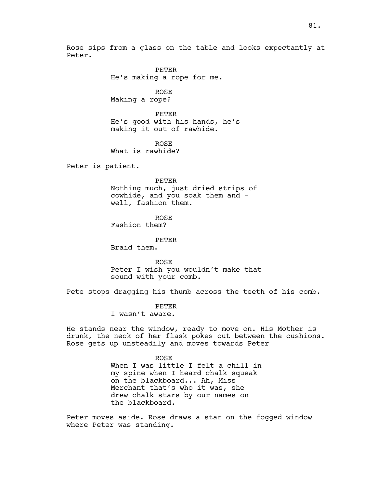Rose sips from a glass on the table and looks expectantly at Peter.

> PETER He's making a rope for me.

ROSE Making a rope?

PETER He's good with his hands, he's making it out of rawhide.

ROSE What is rawhide?

Peter is patient.

PETER Nothing much, just dried strips of cowhide, and you soak them and -

well, fashion them.

ROSE

Fashion them?

PETER

Braid them.

ROSE Peter I wish you wouldn't make that sound with your comb.

Pete stops dragging his thumb across the teeth of his comb.

PETER

I wasn't aware.

He stands near the window, ready to move on. His Mother is drunk, the neck of her flask pokes out between the cushions. Rose gets up unsteadily and moves towards Peter

> ROSE When I was little I felt a chill in my spine when I heard chalk squeak on the blackboard... Ah, Miss Merchant that's who it was, she drew chalk stars by our names on the blackboard.

Peter moves aside. Rose draws a star on the fogged window where Peter was standing.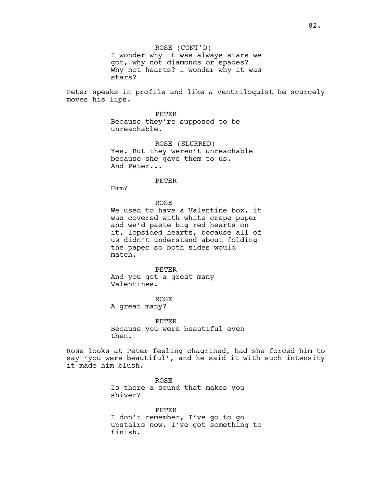ROSE (CONT'D) I wonder why it was always stars we got, why not diamonds or spades? Why not hearts? I wonder why it was stars?

Peter speaks in profile and like a ventriloquist he scarcely moves his lips.

> PETER Because they're supposed to be unreachable.

ROSE (SLURRED) Yes. But they weren't unreachable because she gave them to us. And Peter...

PETER

Hmm?

ROSE

We used to have a Valentine box, it was covered with white crepe paper and we'd paste big red hearts on it, lopsided hearts, because all of us didn't understand about folding the paper so both sides would match.

PETER And you got a great many Valentines.

ROSE A great many?

PETER Because you were beautiful even then.

Rose looks at Peter feeling chagrined, had she forced him to say 'you were beautiful', and he said it with such intensity it made him blush.

> ROSE Is there a sound that makes you shiver?

PETER I don't remember, I've go to go upstairs now. I've got something to finish.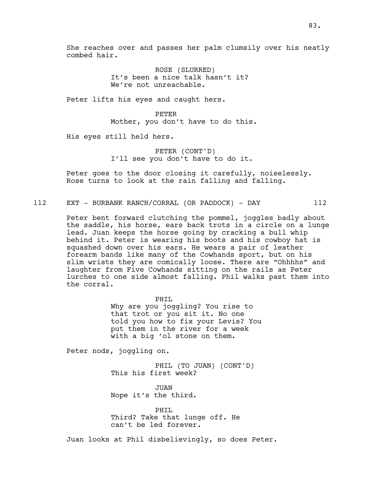She reaches over and passes her palm clumsily over his neatly combed hair.

> ROSE (SLURRED) It's been a nice talk hasn't it? We're not unreachable.

Peter lifts his eyes and caught hers.

PETER Mother, you don't have to do this.

His eyes still held hers.

PETER (CONT'D) I'll see you don't have to do it.

Peter goes to the door closing it carefully, noiselessly. Rose turns to look at the rain falling and falling.

112 EXT - BURBANK RANCH/CORRAL (OR PADDOCK) - DAY 112

Peter bent forward clutching the pommel, joggles badly about the saddle, his horse, ears back trots in a circle on a lunge lead. Juan keeps the horse going by cracking a bull whip behind it. Peter is wearing his boots and his cowboy hat is squashed down over his ears. He wears a pair of leather forearm bands like many of the Cowhands sport, but on his slim wrists they are comically loose. There are "Ohhhhs" and laughter from Five Cowhands sitting on the rails as Peter lurches to one side almost falling. Phil walks past them into the corral.

> PHIL Why are you joggling? You rise to that trot or you sit it. No one told you how to fix your Levis? You put them in the river for a week with a big 'ol stone on them.

Peter nods, joggling on.

PHIL (TO JUAN) (CONT'D) This his first week?

JUAN Nope it's the third.

PHIL Third? Take that lunge off. He can't be led forever.

Juan looks at Phil disbelievingly, so does Peter.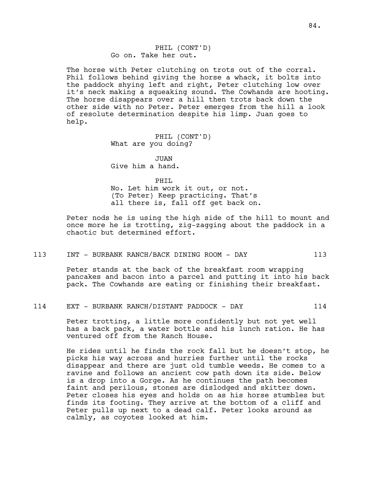The horse with Peter clutching on trots out of the corral. Phil follows behind giving the horse a whack, it bolts into the paddock shying left and right, Peter clutching low over it's neck making a squeaking sound. The Cowhands are hooting. The horse disappears over a hill then trots back down the other side with no Peter. Peter emerges from the hill a look of resolute determination despite his limp. Juan goes to help.

> PHIL (CONT'D) What are you doing?

JUAN. Give him a hand.

PHIL

No. Let him work it out, or not. (To Peter) Keep practicing. That's all there is, fall off get back on.

Peter nods he is using the high side of the hill to mount and once more he is trotting, zig-zagging about the paddock in a chaotic but determined effort.

113 INT - BURBANK RANCH/BACK DINING ROOM - DAY 113

Peter stands at the back of the breakfast room wrapping pancakes and bacon into a parcel and putting it into his back pack. The Cowhands are eating or finishing their breakfast.

## 114 EXT - BURBANK RANCH/DISTANT PADDOCK - DAY 114

Peter trotting, a little more confidently but not yet well has a back pack, a water bottle and his lunch ration. He has ventured off from the Ranch House.

He rides until he finds the rock fall but he doesn't stop, he picks his way across and hurries further until the rocks disappear and there are just old tumble weeds. He comes to a ravine and follows an ancient cow path down its side. Below is a drop into a Gorge. As he continues the path becomes faint and perilous, stones are dislodged and skitter down. Peter closes his eyes and holds on as his horse stumbles but finds its footing. They arrive at the bottom of a cliff and Peter pulls up next to a dead calf. Peter looks around as calmly, as coyotes looked at him.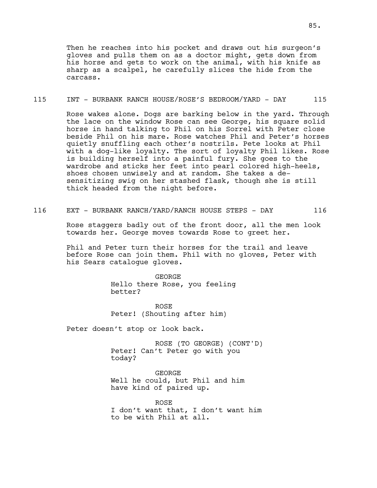Then he reaches into his pocket and draws out his surgeon's gloves and pulls them on as a doctor might, gets down from his horse and gets to work on the animal, with his knife as sharp as a scalpel, he carefully slices the hide from the carcass.

#### 115 INT - BURBANK RANCH HOUSE/ROSE'S BEDROOM/YARD - DAY 115

Rose wakes alone. Dogs are barking below in the yard. Through the lace on the window Rose can see George, his square solid horse in hand talking to Phil on his Sorrel with Peter close beside Phil on his mare. Rose watches Phil and Peter's horses quietly snuffling each other's nostrils. Pete looks at Phil with a dog-like loyalty. The sort of loyalty Phil likes. Rose is building herself into a painful fury. She goes to the wardrobe and sticks her feet into pearl colored high-heels, shoes chosen unwisely and at random. She takes a desensitizing swig on her stashed flask, though she is still thick headed from the night before.

116 EXT - BURBANK RANCH/YARD/RANCH HOUSE STEPS - DAY 116

Rose staggers badly out of the front door, all the men look towards her. George moves towards Rose to greet her.

Phil and Peter turn their horses for the trail and leave before Rose can join them. Phil with no gloves, Peter with his Sears catalogue gloves.

> GEORGE Hello there Rose, you feeling better?

ROSE Peter! (Shouting after him)

Peter doesn't stop or look back.

ROSE (TO GEORGE) (CONT'D) Peter! Can't Peter go with you today?

GEORGE Well he could, but Phil and him have kind of paired up.

ROSE I don't want that, I don't want him to be with Phil at all.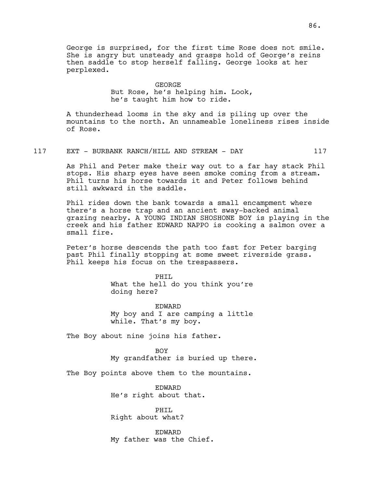George is surprised, for the first time Rose does not smile. She is angry but unsteady and grasps hold of George's reins then saddle to stop herself falling. George looks at her perplexed.

# GEORGE But Rose, he's helping him. Look, he's taught him how to ride.

A thunderhead looms in the sky and is piling up over the mountains to the north. An unnameable loneliness rises inside of Rose.

117 EXT - BURBANK RANCH/HILL AND STREAM - DAY 117

As Phil and Peter make their way out to a far hay stack Phil stops. His sharp eyes have seen smoke coming from a stream. Phil turns his horse towards it and Peter follows behind still awkward in the saddle.

Phil rides down the bank towards a small encampment where there's a horse trap and an ancient sway-backed animal grazing nearby. A YOUNG INDIAN SHOSHONE BOY is playing in the creek and his father EDWARD NAPPO is cooking a salmon over a small fire.

Peter's horse descends the path too fast for Peter barging past Phil finally stopping at some sweet riverside grass. Phil keeps his focus on the trespassers.

> PHTT. What the hell do you think you're doing here?

> EDWARD My boy and I are camping a little while. That's my boy.

The Boy about nine joins his father.

# BOY

My grandfather is buried up there.

The Boy points above them to the mountains.

EDWARD He's right about that.

PHIL Right about what?

EDWARD My father was the Chief.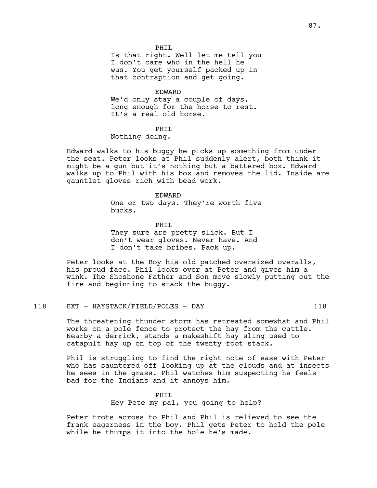#### PHTT.

Is that right. Well let me tell you I don't care who in the hell he was. You get yourself packed up in that contraption and get going.

#### EDWARD

We'd only stay a couple of days, long enough for the horse to rest. It's a real old horse.

## PHIL

Nothing doing.

Edward walks to his buggy he picks up something from under the seat. Peter looks at Phil suddenly alert, both think it might be a gun but it's nothing but a battered box. Edward walks up to Phil with his box and removes the lid. Inside are gauntlet gloves rich with bead work.

#### EDWARD

One or two days. They're worth five bucks.

PHTT. They sure are pretty slick. But I don't wear gloves. Never have. And I don't take bribes. Pack up.

Peter looks at the Boy his old patched oversized overalls, his proud face. Phil looks over at Peter and gives him a wink. The Shoshone Father and Son move slowly putting out the fire and beginning to stack the buggy.

## 118 EXT - HAYSTACK/FIELD/POLES - DAY 118

The threatening thunder storm has retreated somewhat and Phil works on a pole fence to protect the hay from the cattle. Nearby a derrick, stands a makeshift hay sling used to catapult hay up on top of the twenty foot stack.

Phil is struggling to find the right note of ease with Peter who has sauntered off looking up at the clouds and at insects he sees in the grass. Phil watches him suspecting he feels bad for the Indians and it annoys him.

# PHTT. Hey Pete my pal, you going to help?

Peter trots across to Phil and Phil is relieved to see the frank eagerness in the boy. Phil gets Peter to hold the pole while he thumps it into the hole he's made.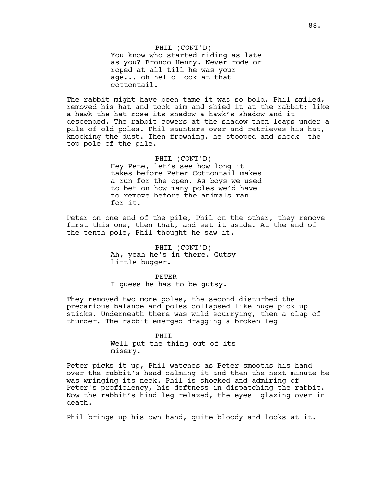The rabbit might have been tame it was so bold. Phil smiled, removed his hat and took aim and shied it at the rabbit; like a hawk the hat rose its shadow a hawk's shadow and it descended. The rabbit cowers at the shadow then leaps under a pile of old poles. Phil saunters over and retrieves his hat, knocking the dust. Then frowning, he stooped and shook the top pole of the pile.

> PHIL (CONT'D) Hey Pete, let's see how long it takes before Peter Cottontail makes a run for the open. As boys we used to bet on how many poles we'd have to remove before the animals ran for it.

Peter on one end of the pile, Phil on the other, they remove first this one, then that, and set it aside. At the end of the tenth pole, Phil thought he saw it.

> PHIL (CONT'D) Ah, yeah he's in there. Gutsy little bugger.

> > PETER

I guess he has to be gutsy.

They removed two more poles, the second disturbed the precarious balance and poles collapsed like huge pick up sticks. Underneath there was wild scurrying, then a clap of thunder. The rabbit emerged dragging a broken leg

> PHIL Well put the thing out of its misery.

Peter picks it up, Phil watches as Peter smooths his hand over the rabbit's head calming it and then the next minute he was wringing its neck. Phil is shocked and admiring of Peter's proficiency, his deftness in dispatching the rabbit. Now the rabbit's hind leg relaxed, the eyes glazing over in death.

Phil brings up his own hand, quite bloody and looks at it.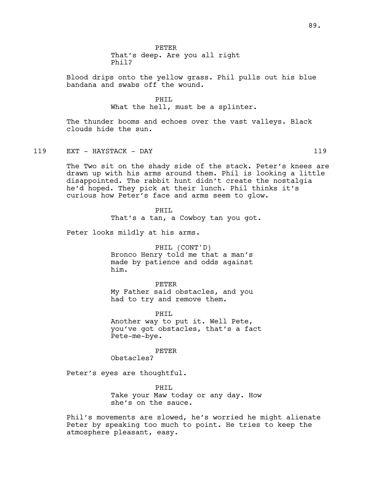That's deep. Are you all right Phil?

Blood drips onto the yellow grass. Phil pulls out his blue bandana and swabs off the wound.

#### PHTT.

What the hell, must be a splinter.

The thunder booms and echoes over the vast valleys. Black clouds hide the sun.

119 EXT - HAYSTACK - DAY 119

The Two sit on the shady side of the stack. Peter's knees are drawn up with his arms around them. Phil is looking a little disappointed. The rabbit hunt didn't create the nostalgia he'd hoped. They pick at their lunch. Phil thinks it's curious how Peter's face and arms seem to glow.

> PHTT. That's a tan, a Cowboy tan you got.

Peter looks mildly at his arms.

PHIL (CONT'D) Bronco Henry told me that a man's

made by patience and odds against him.

PETER My Father said obstacles, and you had to try and remove them.

PHIL Another way to put it. Well Pete, you've got obstacles, that's a fact Pete-me-bye.

PETER

Obstacles?

Peter's eyes are thoughtful.

PHIL Take your Maw today or any day. How she's on the sauce.

Phil's movements are slowed, he's worried he might alienate Peter by speaking too much to point. He tries to keep the atmosphere pleasant, easy.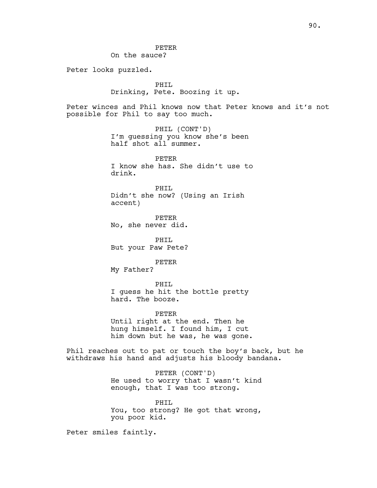PETER On the sauce?

Peter looks puzzled.

PHIL Drinking, Pete. Boozing it up.

Peter winces and Phil knows now that Peter knows and it's not possible for Phil to say too much.

> PHIL (CONT'D) I'm guessing you know she's been half shot all summer.

PETER I know she has. She didn't use to drink.

PHIL Didn't she now? (Using an Irish accent)

PETER No, she never did.

PHIL But your Paw Pete?

PETER

My Father?

PHIL I guess he hit the bottle pretty hard. The booze.

PETER

Until right at the end. Then he hung himself. I found him, I cut him down but he was, he was gone.

Phil reaches out to pat or touch the boy's back, but he withdraws his hand and adjusts his bloody bandana.

> PETER (CONT'D) He used to worry that I wasn't kind enough, that I was too strong.

> PHIL You, too strong? He got that wrong, you poor kid.

Peter smiles faintly.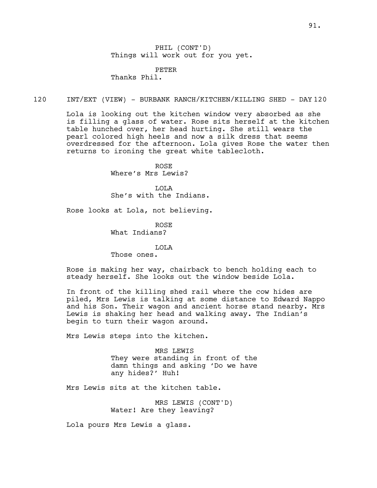PETER Thanks Phil.

#### 120 INT/EXT (VIEW) - BURBANK RANCH/KITCHEN/KILLING SHED - DAY 120

Lola is looking out the kitchen window very absorbed as she is filling a glass of water. Rose sits herself at the kitchen table hunched over, her head hurting. She still wears the pearl colored high heels and now a silk dress that seems overdressed for the afternoon. Lola gives Rose the water then returns to ironing the great white tablecloth.

> ROSE Where's Mrs Lewis?

LOLA She's with the Indians.

Rose looks at Lola, not believing.

ROSE What Indians?

## LOLA

Those ones.

Rose is making her way, chairback to bench holding each to steady herself. She looks out the window beside Lola.

In front of the killing shed rail where the cow hides are piled, Mrs Lewis is talking at some distance to Edward Nappo and his Son. Their wagon and ancient horse stand nearby. Mrs Lewis is shaking her head and walking away. The Indian's begin to turn their wagon around.

Mrs Lewis steps into the kitchen.

MRS LEWIS They were standing in front of the damn things and asking 'Do we have any hides?' Huh!

Mrs Lewis sits at the kitchen table.

MRS LEWIS (CONT'D) Water! Are they leaving?

Lola pours Mrs Lewis a glass.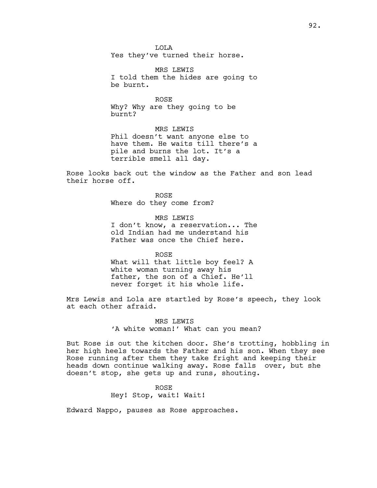LOLA Yes they've turned their horse.

MRS LEWIS I told them the hides are going to be burnt.

ROSE Why? Why are they going to be burnt?

MRS LEWIS Phil doesn't want anyone else to have them. He waits till there's a pile and burns the lot. It's a terrible smell all day.

Rose looks back out the window as the Father and son lead their horse off.

> ROSE Where do they come from?

MRS LEWIS I don't know, a reservation... The old Indian had me understand his Father was once the Chief here.

ROSE What will that little boy feel? A white woman turning away his father, the son of a Chief. He'll never forget it his whole life.

Mrs Lewis and Lola are startled by Rose's speech, they look at each other afraid.

> MRS LEWIS 'A white woman!' What can you mean?

But Rose is out the kitchen door. She's trotting, hobbling in her high heels towards the Father and his son. When they see Rose running after them they take fright and keeping their heads down continue walking away. Rose falls over, but she doesn't stop, she gets up and runs, shouting.

> ROSE Hey! Stop, wait! Wait!

Edward Nappo, pauses as Rose approaches.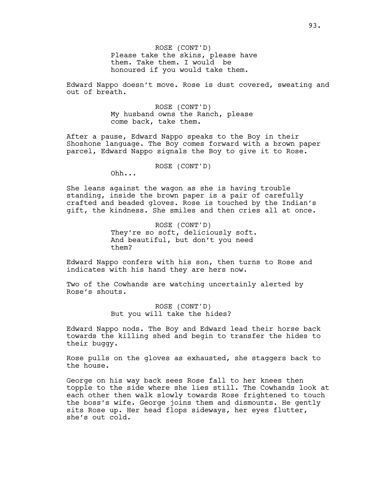ROSE (CONT'D) Please take the skins, please have them. Take them. I would be honoured if you would take them.

Edward Nappo doesn't move. Rose is dust covered, sweating and out of breath.

> ROSE (CONT'D) My husband owns the Ranch, please come back, take them.

After a pause, Edward Nappo speaks to the Boy in their Shoshone language. The Boy comes forward with a brown paper parcel, Edward Nappo signals the Boy to give it to Rose.

ROSE (CONT'D)

Ohh...

She leans against the wagon as she is having trouble standing, inside the brown paper is a pair of carefully crafted and beaded gloves. Rose is touched by the Indian's gift, the kindness. She smiles and then cries all at once.

> ROSE (CONT'D) They're so soft, deliciously soft. And beautiful, but don't you need them?

Edward Nappo confers with his son, then turns to Rose and indicates with his hand they are hers now.

Two of the Cowhands are watching uncertainly alerted by Rose's shouts.

> ROSE (CONT'D) But you will take the hides?

Edward Nappo nods. The Boy and Edward lead their horse back towards the killing shed and begin to transfer the hides to their buggy.

Rose pulls on the gloves as exhausted, she staggers back to the house.

George on his way back sees Rose fall to her knees then topple to the side where she lies still. The Cowhands look at each other then walk slowly towards Rose frightened to touch the boss's wife. George joins them and dismounts. He gently sits Rose up. Her head flops sideways, her eyes flutter, she's out cold.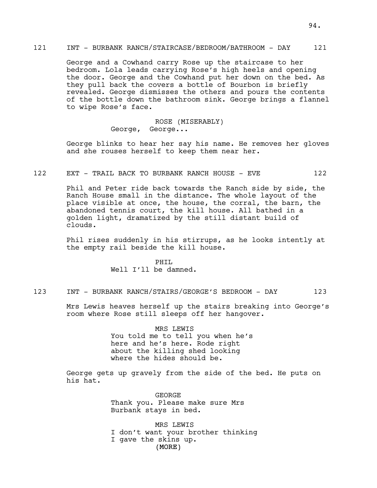### 121 INT - BURBANK RANCH/STAIRCASE/BEDROOM/BATHROOM - DAY 121

George and a Cowhand carry Rose up the staircase to her bedroom. Lola leads carrying Rose's high heels and opening the door. George and the Cowhand put her down on the bed. As they pull back the covers a bottle of Bourbon is briefly revealed. George dismisses the others and pours the contents of the bottle down the bathroom sink. George brings a flannel to wipe Rose's face.

> ROSE (MISERABLY) George, George...

George blinks to hear her say his name. He removes her gloves and she rouses herself to keep them near her.

## 122 EXT - TRAIL BACK TO BURBANK RANCH HOUSE - EVE 122

Phil and Peter ride back towards the Ranch side by side, the Ranch House small in the distance. The whole layout of the place visible at once, the house, the corral, the barn, the abandoned tennis court, the kill house. All bathed in a golden light, dramatized by the still distant build of clouds.

Phil rises suddenly in his stirrups, as he looks intently at the empty rail beside the kill house.

> PHIL Well I'll be damned.

## 123 INT - BURBANK RANCH/STAIRS/GEORGE'S BEDROOM - DAY 123

Mrs Lewis heaves herself up the stairs breaking into George's room where Rose still sleeps off her hangover.

> MRS LEWIS You told me to tell you when he's here and he's here. Rode right about the killing shed looking where the hides should be.

George gets up gravely from the side of the bed. He puts on his hat.

> GEORGE Thank you. Please make sure Mrs Burbank stays in bed.

(MORE) MRS LEWIS I don't want your brother thinking I gave the skins up.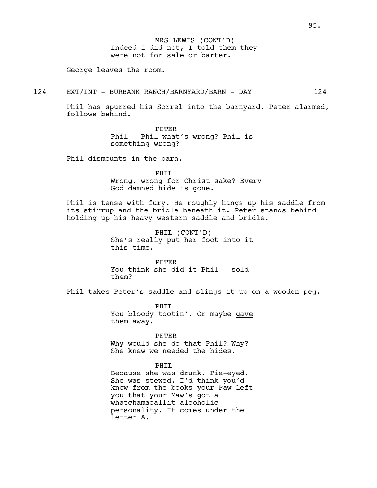MRS LEWIS (CONT'D) Indeed I did not, I told them they were not for sale or barter.

George leaves the room.

## 124 EXT/INT - BURBANK RANCH/BARNYARD/BARN - DAY 124

Phil has spurred his Sorrel into the barnyard. Peter alarmed, follows behind.

> PETER Phil - Phil what's wrong? Phil is something wrong?

Phil dismounts in the barn.

PHIL Wrong, wrong for Christ sake? Every God damned hide is gone.

Phil is tense with fury. He roughly hangs up his saddle from its stirrup and the bridle beneath it. Peter stands behind holding up his heavy western saddle and bridle.

> PHIL (CONT'D) She's really put her foot into it this time.

PETER You think she did it Phil - sold them?

Phil takes Peter's saddle and slings it up on a wooden peg.

PHTT. You bloody tootin'. Or maybe gave them away.

PETER

Why would she do that Phil? Why? She knew we needed the hides.

### PHIL

Because she was drunk. Pie-eyed. She was stewed. I'd think you'd know from the books your Paw left you that your Maw's got a whatchamacallit alcoholic personality. It comes under the letter A.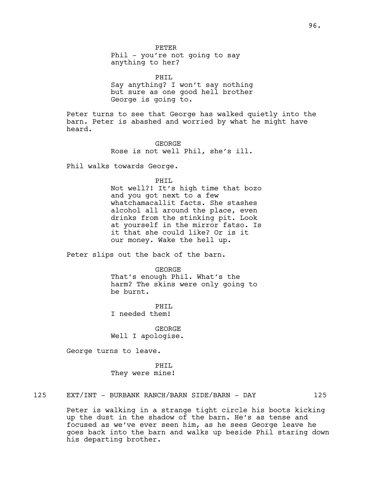PETER Phil - you're not going to say anything to her?

PHIL Say anything? I won't say nothing but sure as one good hell brother George is going to.

Peter turns to see that George has walked quietly into the barn. Peter is abashed and worried by what he might have heard.

> GEORGE Rose is not well Phil, she's ill.

Phil walks towards George.

PHIL

Not well?! It's high time that bozo and you got next to a few whatchamacallit facts. She stashes alcohol all around the place, even drinks from the stinking pit. Look at yourself in the mirror fatso. Is it that she could like? Or is it our money. Wake the hell up.

Peter slips out the back of the barn.

GEORGE That's enough Phil. What's the harm? The skins were only going to be burnt.

PHTT. I needed them!

GEORGE Well I apologise.

George turns to leave.

PHIL They were mine!

# 125 EXT/INT - BURBANK RANCH/BARN SIDE/BARN - DAY 125

Peter is walking in a strange tight circle his boots kicking up the dust in the shadow of the barn. He's as tense and focused as we've ever seen him, as he sees George leave he goes back into the barn and walks up beside Phil staring down his departing brother.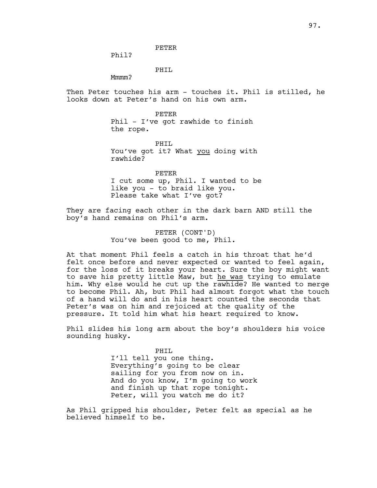PETER

Phil?

PHIL

Mmmm?

Then Peter touches his arm - touches it. Phil is stilled, he looks down at Peter's hand on his own arm.

> PETER Phil - I've got rawhide to finish the rope.

PHIL You've got it? What you doing with rawhide?

PETER I cut some up, Phil. I wanted to be like you - to braid like you. Please take what I've got?

They are facing each other in the dark barn AND still the boy's hand remains on Phil's arm.

> PETER (CONT'D) You've been good to me, Phil.

At that moment Phil feels a catch in his throat that he'd felt once before and never expected or wanted to feel again, for the loss of it breaks your heart. Sure the boy might want to save his pretty little Maw, but he was trying to emulate him. Why else would he cut up the rawhide? He wanted to merge to become Phil. Ah, but Phil had almost forgot what the touch of a hand will do and in his heart counted the seconds that Peter's was on him and rejoiced at the quality of the pressure. It told him what his heart required to know.

Phil slides his long arm about the boy's shoulders his voice sounding husky.

> PHIL I'll tell you one thing. Everything's going to be clear sailing for you from now on in. And do you know, I'm going to work and finish up that rope tonight. Peter, will you watch me do it?

As Phil gripped his shoulder, Peter felt as special as he believed himself to be.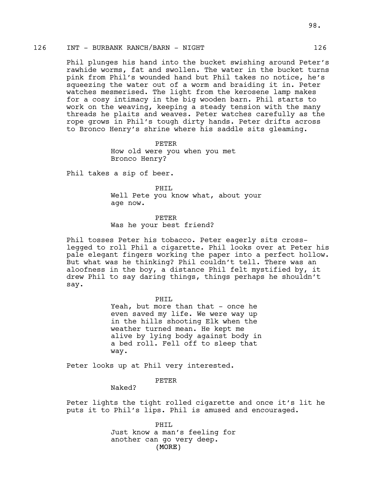# 126 INT - BURBANK RANCH/BARN - NIGHT 126

Phil plunges his hand into the bucket swishing around Peter's rawhide worms, fat and swollen. The water in the bucket turns pink from Phil's wounded hand but Phil takes no notice, he's squeezing the water out of a worm and braiding it in. Peter watches mesmerised. The light from the kerosene lamp makes for a cosy intimacy in the big wooden barn. Phil starts to work on the weaving, keeping a steady tension with the many threads he plaits and weaves. Peter watches carefully as the rope grows in Phil's tough dirty hands. Peter drifts across to Bronco Henry's shrine where his saddle sits gleaming.

> PETER How old were you when you met Bronco Henry?

Phil takes a sip of beer.

PHIL Well Pete you know what, about your age now.

PETER Was he your best friend?

Phil tosses Peter his tobacco. Peter eagerly sits crosslegged to roll Phil a cigarette. Phil looks over at Peter his pale elegant fingers working the paper into a perfect hollow. But what was he thinking? Phil couldn't tell. There was an aloofness in the boy, a distance Phil felt mystified by, it drew Phil to say daring things, things perhaps he shouldn't say.

> PHIL Yeah, but more than that - once he even saved my life. We were way up in the hills shooting Elk when the weather turned mean. He kept me alive by lying body against body in a bed roll. Fell off to sleep that way.

Peter looks up at Phil very interested.

PETER

Naked?

Peter lights the tight rolled cigarette and once it's lit he puts it to Phil's lips. Phil is amused and encouraged.

> (MORE) PHIL Just know a man's feeling for another can go very deep.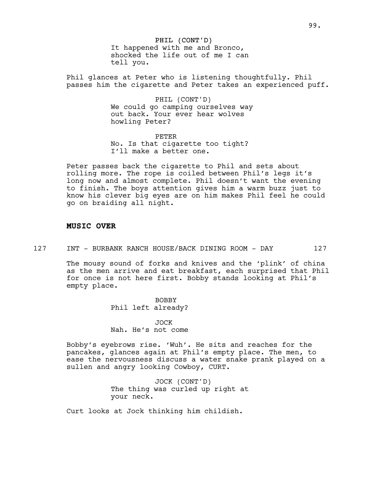PHIL (CONT'D) It happened with me and Bronco, shocked the life out of me I can tell you.

Phil glances at Peter who is listening thoughtfully. Phil passes him the cigarette and Peter takes an experienced puff.

> PHIL (CONT'D) We could go camping ourselves way out back. Your ever hear wolves howling Peter?

PETER No. Is that cigarette too tight? I'll make a better one.

Peter passes back the cigarette to Phil and sets about rolling more. The rope is coiled between Phil's legs it's long now and almost complete. Phil doesn't want the evening to finish. The boys attention gives him a warm buzz just to know his clever big eyes are on him makes Phil feel he could go on braiding all night.

#### **MUSIC OVER**

127 INT - BURBANK RANCH HOUSE/BACK DINING ROOM - DAY 127

The mousy sound of forks and knives and the 'plink' of china as the men arrive and eat breakfast, each surprised that Phil for once is not here first. Bobby stands looking at Phil's empty place.

> BOBBY Phil left already?

> JOCK Nah. He's not come

Bobby's eyebrows rise. 'Wuh'. He sits and reaches for the pancakes, glances again at Phil's empty place. The men, to ease the nervousness discuss a water snake prank played on a sullen and angry looking Cowboy, CURT.

> JOCK (CONT'D) The thing was curled up right at your neck.

Curt looks at Jock thinking him childish.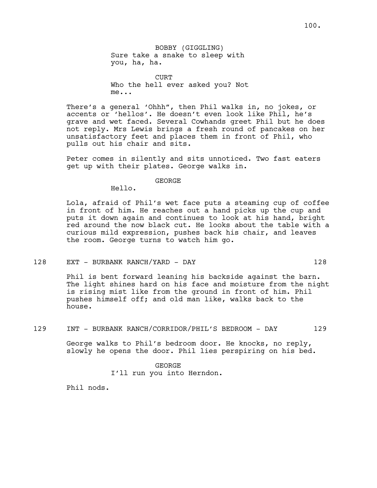BOBBY (GIGGLING) Sure take a snake to sleep with you, ha, ha.

CURT Who the hell ever asked you? Not me...

There's a general 'Ohhh", then Phil walks in, no jokes, or accents or 'hellos'. He doesn't even look like Phil, he's grave and wet faced. Several Cowhands greet Phil but he does not reply. Mrs Lewis brings a fresh round of pancakes on her unsatisfactory feet and places them in front of Phil, who pulls out his chair and sits.

Peter comes in silently and sits unnoticed. Two fast eaters get up with their plates. George walks in.

GEORGE

Hello.

Lola, afraid of Phil's wet face puts a steaming cup of coffee in front of him. He reaches out a hand picks up the cup and puts it down again and continues to look at his hand, bright red around the now black cut. He looks about the table with a curious mild expression, pushes back his chair, and leaves the room. George turns to watch him go.

#### 128 EXT - BURBANK RANCH/YARD - DAY 128

Phil is bent forward leaning his backside against the barn. The light shines hard on his face and moisture from the night is rising mist like from the ground in front of him. Phil pushes himself off; and old man like, walks back to the house.

## 129 INT - BURBANK RANCH/CORRIDOR/PHIL'S BEDROOM - DAY 129

George walks to Phil's bedroom door. He knocks, no reply, slowly he opens the door. Phil lies perspiring on his bed.

> GEORGE I'll run you into Herndon.

Phil nods.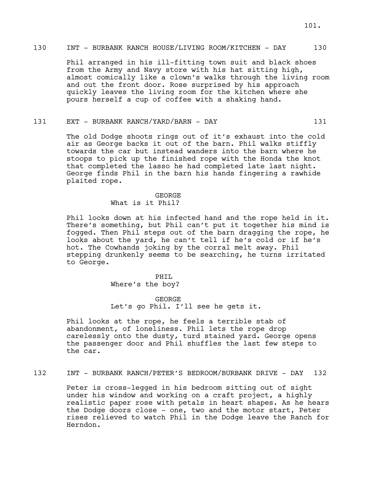Phil arranged in his ill-fitting town suit and black shoes from the Army and Navy store with his hat sitting high, almost comically like a clown's walks through the living room and out the front door. Rose surprised by his approach quickly leaves the living room for the kitchen where she pours herself a cup of coffee with a shaking hand.

131 EXT - BURBANK RANCH/YARD/BARN - DAY 131

The old Dodge shoots rings out of it's exhaust into the cold air as George backs it out of the barn. Phil walks stiffly towards the car but instead wanders into the barn where he stoops to pick up the finished rope with the Honda the knot that completed the lasso he had completed late last night. George finds Phil in the barn his hands fingering a rawhide plaited rope.

# GEORGE What is it Phil?

Phil looks down at his infected hand and the rope held in it. There's something, but Phil can't put it together his mind is fogged. Then Phil steps out of the barn dragging the rope, he looks about the yard, he can't tell if he's cold or if he's hot. The Cowhands joking by the corral melt away. Phil stepping drunkenly seems to be searching, he turns irritated to George.

> PHIL Where's the boy?

GEORGE Let's go Phil. I'll see he gets it.

Phil looks at the rope, he feels a terrible stab of abandonment, of loneliness. Phil lets the rope drop carelessly onto the dusty, turd stained yard. George opens the passenger door and Phil shuffles the last few steps to the car.

132 INT - BURBANK RANCH/PETER'S BEDROOM/BURBANK DRIVE - DAY 132

Peter is cross-legged in his bedroom sitting out of sight under his window and working on a craft project, a highly realistic paper rose with petals in heart shapes. As he hears the Dodge doors close - one, two and the motor start, Peter rises relieved to watch Phil in the Dodge leave the Ranch for Herndon.

101.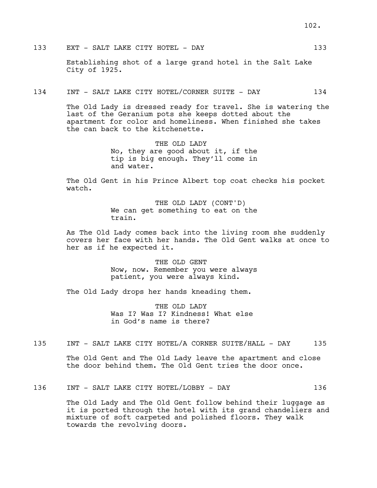133 EXT - SALT LAKE CITY HOTEL - DAY 133

Establishing shot of a large grand hotel in the Salt Lake City of 1925.

134 INT - SALT LAKE CITY HOTEL/CORNER SUITE - DAY 134

The Old Lady is dressed ready for travel. She is watering the last of the Geranium pots she keeps dotted about the apartment for color and homeliness. When finished she takes the can back to the kitchenette.

> THE OLD LADY No, they are good about it, if the tip is big enough. They'll come in and water.

The Old Gent in his Prince Albert top coat checks his pocket watch.

> THE OLD LADY (CONT'D) We can get something to eat on the train.

As The Old Lady comes back into the living room she suddenly covers her face with her hands. The Old Gent walks at once to her as if he expected it.

> THE OLD GENT Now, now. Remember you were always patient, you were always kind.

The Old Lady drops her hands kneading them.

THE OLD LADY Was I? Was I? Kindness! What else in God's name is there?

135 INT - SALT LAKE CITY HOTEL/A CORNER SUITE/HALL - DAY 135

The Old Gent and The Old Lady leave the apartment and close the door behind them. The Old Gent tries the door once.

# 136 INT - SALT LAKE CITY HOTEL/LOBBY - DAY 136

The Old Lady and The Old Gent follow behind their luggage as it is ported through the hotel with its grand chandeliers and mixture of soft carpeted and polished floors. They walk towards the revolving doors.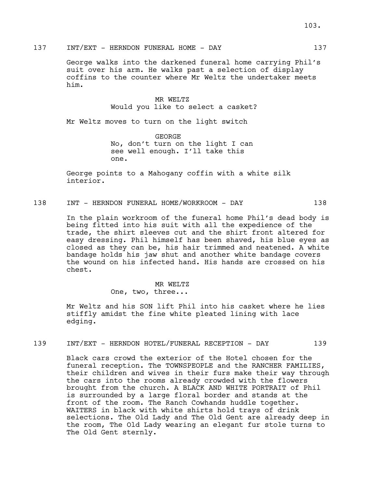George walks into the darkened funeral home carrying Phil's suit over his arm. He walks past a selection of display coffins to the counter where Mr Weltz the undertaker meets him.

> MR WELTZ Would you like to select a casket?

Mr Weltz moves to turn on the light switch

GEORGE No, don't turn on the light I can see well enough. I'll take this one.

George points to a Mahogany coffin with a white silk interior.

### 138 INT - HERNDON FUNERAL HOME/WORKROOM - DAY 138

In the plain workroom of the funeral home Phil's dead body is being fitted into his suit with all the expedience of the trade, the shirt sleeves cut and the shirt front altered for easy dressing. Phil himself has been shaved, his blue eyes as closed as they can be, his hair trimmed and neatened. A white bandage holds his jaw shut and another white bandage covers the wound on his infected hand. His hands are crossed on his chest.

> MR WELTZ One, two, three...

Mr Weltz and his SON lift Phil into his casket where he lies stiffly amidst the fine white pleated lining with lace edging.

### 139 INT/EXT - HERNDON HOTEL/FUNERAL RECEPTION - DAY 139

Black cars crowd the exterior of the Hotel chosen for the funeral reception. The TOWNSPEOPLE and the RANCHER FAMILIES, their children and wives in their furs make their way through the cars into the rooms already crowded with the flowers brought from the church. A BLACK AND WHITE PORTRAIT of Phil is surrounded by a large floral border and stands at the front of the room. The Ranch Cowhands huddle together. WAITERS in black with white shirts hold trays of drink selections. The Old Lady and The Old Gent are already deep in the room, The Old Lady wearing an elegant fur stole turns to The Old Gent sternly.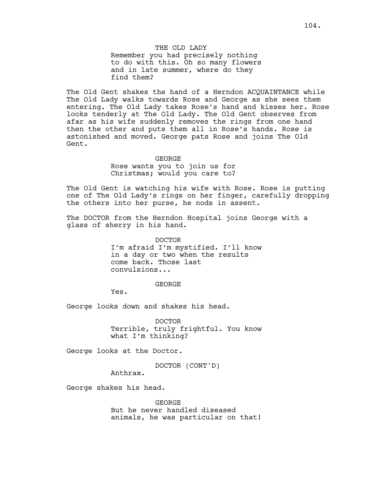THE OLD LADY Remember you had precisely nothing to do with this. Oh so many flowers and in late summer, where do they find them?

The Old Gent shakes the hand of a Herndon ACQUAINTANCE while The Old Lady walks towards Rose and George as she sees them entering. The Old Lady takes Rose's hand and kisses her. Rose looks tenderly at The Old Lady. The Old Gent observes from afar as his wife suddenly removes the rings from one hand then the other and puts them all in Rose's hands. Rose is astonished and moved. George pats Rose and joins The Old Gent.

#### GEORGE

Rose wants you to join us for Christmas; would you care to?

The Old Gent is watching his wife with Rose. Rose is putting one of The Old Lady's rings on her finger, carefully dropping the others into her purse, he nods in assent.

The DOCTOR from the Herndon Hospital joins George with a glass of sherry in his hand.

> DOCTOR I'm afraid I'm mystified. I'll know in a day or two when the results come back. Those last convulsions...

> > GEORGE

Yes.

George looks down and shakes his head.

DOCTOR Terrible, truly frightful. You know what I'm thinking?

George looks at the Doctor.

DOCTOR (CONT'D)

Anthrax.

George shakes his head.

GEORGE But he never handled diseased animals, he was particular on that!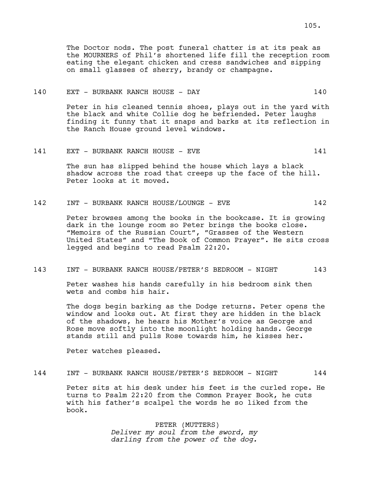## 140 EXT - BURBANK RANCH HOUSE - DAY 140

Peter in his cleaned tennis shoes, plays out in the yard with the black and white Collie dog he befriended. Peter laughs finding it funny that it snaps and barks at its reflection in the Ranch House ground level windows.

## 141 EXT - BURBANK RANCH HOUSE - EVE 141

The sun has slipped behind the house which lays a black shadow across the road that creeps up the face of the hill. Peter looks at it moved.

## 142 INT - BURBANK RANCH HOUSE/LOUNGE - EVE 142

Peter browses among the books in the bookcase. It is growing dark in the lounge room so Peter brings the books close. "Memoirs of the Russian Court", "Grasses of the Western United States" and "The Book of Common Prayer". He sits cross legged and begins to read Psalm 22:20.

## 143 INT - BURBANK RANCH HOUSE/PETER'S BEDROOM - NIGHT 143

Peter washes his hands carefully in his bedroom sink then wets and combs his hair.

The dogs begin barking as the Dodge returns. Peter opens the window and looks out. At first they are hidden in the black of the shadows, he hears his Mother's voice as George and Rose move softly into the moonlight holding hands. George stands still and pulls Rose towards him, he kisses her.

Peter watches pleased.

# 144 INT - BURBANK RANCH HOUSE/PETER'S BEDROOM - NIGHT 144

Peter sits at his desk under his feet is the curled rope. He turns to Psalm 22:20 from the Common Prayer Book, he cuts with his father's scalpel the words he so liked from the book.

> PETER (MUTTERS) *Deliver my soul from the sword, my darling from the power of the dog.*